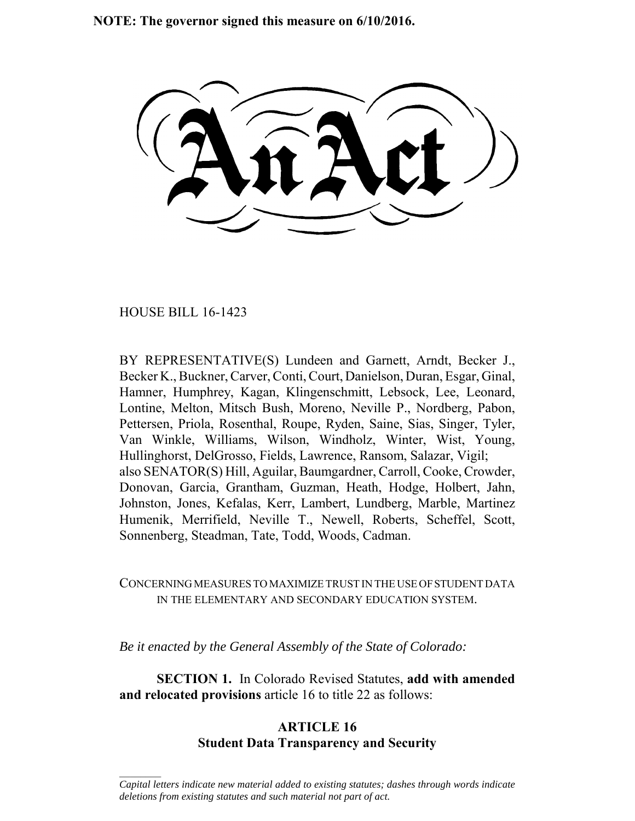**NOTE: The governor signed this measure on 6/10/2016.**

HOUSE BILL 16-1423

 $\frac{1}{2}$ 

BY REPRESENTATIVE(S) Lundeen and Garnett, Arndt, Becker J., Becker K., Buckner, Carver, Conti, Court, Danielson, Duran, Esgar, Ginal, Hamner, Humphrey, Kagan, Klingenschmitt, Lebsock, Lee, Leonard, Lontine, Melton, Mitsch Bush, Moreno, Neville P., Nordberg, Pabon, Pettersen, Priola, Rosenthal, Roupe, Ryden, Saine, Sias, Singer, Tyler, Van Winkle, Williams, Wilson, Windholz, Winter, Wist, Young, Hullinghorst, DelGrosso, Fields, Lawrence, Ransom, Salazar, Vigil; also SENATOR(S) Hill, Aguilar, Baumgardner, Carroll, Cooke, Crowder, Donovan, Garcia, Grantham, Guzman, Heath, Hodge, Holbert, Jahn, Johnston, Jones, Kefalas, Kerr, Lambert, Lundberg, Marble, Martinez Humenik, Merrifield, Neville T., Newell, Roberts, Scheffel, Scott, Sonnenberg, Steadman, Tate, Todd, Woods, Cadman.

## CONCERNING MEASURES TO MAXIMIZE TRUST IN THE USE OF STUDENT DATA IN THE ELEMENTARY AND SECONDARY EDUCATION SYSTEM.

*Be it enacted by the General Assembly of the State of Colorado:*

**SECTION 1.** In Colorado Revised Statutes, **add with amended and relocated provisions** article 16 to title 22 as follows:

# **ARTICLE 16 Student Data Transparency and Security**

*Capital letters indicate new material added to existing statutes; dashes through words indicate deletions from existing statutes and such material not part of act.*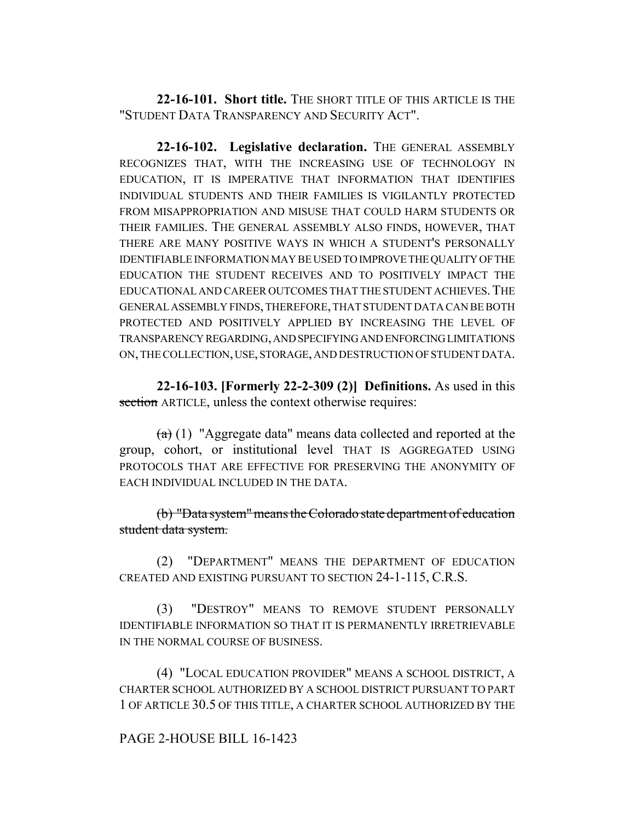**22-16-101. Short title.** THE SHORT TITLE OF THIS ARTICLE IS THE "STUDENT DATA TRANSPARENCY AND SECURITY ACT".

**22-16-102. Legislative declaration.** THE GENERAL ASSEMBLY RECOGNIZES THAT, WITH THE INCREASING USE OF TECHNOLOGY IN EDUCATION, IT IS IMPERATIVE THAT INFORMATION THAT IDENTIFIES INDIVIDUAL STUDENTS AND THEIR FAMILIES IS VIGILANTLY PROTECTED FROM MISAPPROPRIATION AND MISUSE THAT COULD HARM STUDENTS OR THEIR FAMILIES. THE GENERAL ASSEMBLY ALSO FINDS, HOWEVER, THAT THERE ARE MANY POSITIVE WAYS IN WHICH A STUDENT'S PERSONALLY IDENTIFIABLE INFORMATION MAY BE USED TO IMPROVE THE QUALITY OF THE EDUCATION THE STUDENT RECEIVES AND TO POSITIVELY IMPACT THE EDUCATIONAL AND CAREER OUTCOMES THAT THE STUDENT ACHIEVES.THE GENERAL ASSEMBLY FINDS, THEREFORE, THAT STUDENT DATA CAN BE BOTH PROTECTED AND POSITIVELY APPLIED BY INCREASING THE LEVEL OF TRANSPARENCY REGARDING, AND SPECIFYING AND ENFORCING LIMITATIONS ON, THE COLLECTION, USE, STORAGE, AND DESTRUCTION OF STUDENT DATA.

**22-16-103. [Formerly 22-2-309 (2)] Definitions.** As used in this section ARTICLE, unless the context otherwise requires:

 $(a)$  (1) "Aggregate data" means data collected and reported at the group, cohort, or institutional level THAT IS AGGREGATED USING PROTOCOLS THAT ARE EFFECTIVE FOR PRESERVING THE ANONYMITY OF EACH INDIVIDUAL INCLUDED IN THE DATA.

(b) "Data system" means the Colorado state department of education student data system.

(2) "DEPARTMENT" MEANS THE DEPARTMENT OF EDUCATION CREATED AND EXISTING PURSUANT TO SECTION 24-1-115, C.R.S.

(3) "DESTROY" MEANS TO REMOVE STUDENT PERSONALLY IDENTIFIABLE INFORMATION SO THAT IT IS PERMANENTLY IRRETRIEVABLE IN THE NORMAL COURSE OF BUSINESS.

(4) "LOCAL EDUCATION PROVIDER" MEANS A SCHOOL DISTRICT, A CHARTER SCHOOL AUTHORIZED BY A SCHOOL DISTRICT PURSUANT TO PART 1 OF ARTICLE 30.5 OF THIS TITLE, A CHARTER SCHOOL AUTHORIZED BY THE

## PAGE 2-HOUSE BILL 16-1423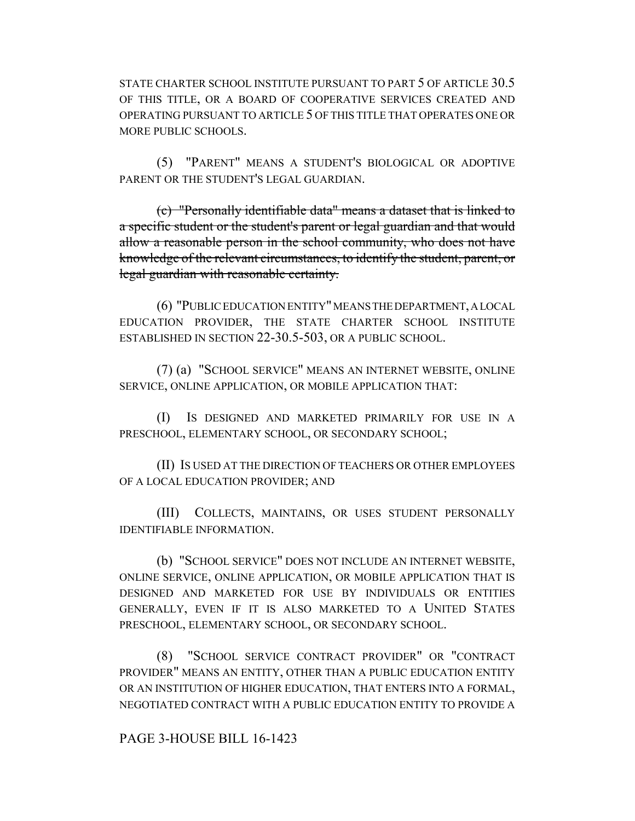STATE CHARTER SCHOOL INSTITUTE PURSUANT TO PART 5 OF ARTICLE 30.5 OF THIS TITLE, OR A BOARD OF COOPERATIVE SERVICES CREATED AND OPERATING PURSUANT TO ARTICLE 5 OF THIS TITLE THAT OPERATES ONE OR MORE PUBLIC SCHOOLS.

(5) "PARENT" MEANS A STUDENT'S BIOLOGICAL OR ADOPTIVE PARENT OR THE STUDENT'S LEGAL GUARDIAN.

(c) "Personally identifiable data" means a dataset that is linked to a specific student or the student's parent or legal guardian and that would allow a reasonable person in the school community, who does not have knowledge of the relevant circumstances, to identify the student, parent, or legal guardian with reasonable certainty.

(6) "PUBLIC EDUCATION ENTITY" MEANS THE DEPARTMENT, A LOCAL EDUCATION PROVIDER, THE STATE CHARTER SCHOOL INSTITUTE ESTABLISHED IN SECTION 22-30.5-503, OR A PUBLIC SCHOOL.

(7) (a) "SCHOOL SERVICE" MEANS AN INTERNET WEBSITE, ONLINE SERVICE, ONLINE APPLICATION, OR MOBILE APPLICATION THAT:

(I) IS DESIGNED AND MARKETED PRIMARILY FOR USE IN A PRESCHOOL, ELEMENTARY SCHOOL, OR SECONDARY SCHOOL;

(II) IS USED AT THE DIRECTION OF TEACHERS OR OTHER EMPLOYEES OF A LOCAL EDUCATION PROVIDER; AND

(III) COLLECTS, MAINTAINS, OR USES STUDENT PERSONALLY IDENTIFIABLE INFORMATION.

(b) "SCHOOL SERVICE" DOES NOT INCLUDE AN INTERNET WEBSITE, ONLINE SERVICE, ONLINE APPLICATION, OR MOBILE APPLICATION THAT IS DESIGNED AND MARKETED FOR USE BY INDIVIDUALS OR ENTITIES GENERALLY, EVEN IF IT IS ALSO MARKETED TO A UNITED STATES PRESCHOOL, ELEMENTARY SCHOOL, OR SECONDARY SCHOOL.

(8) "SCHOOL SERVICE CONTRACT PROVIDER" OR "CONTRACT PROVIDER" MEANS AN ENTITY, OTHER THAN A PUBLIC EDUCATION ENTITY OR AN INSTITUTION OF HIGHER EDUCATION, THAT ENTERS INTO A FORMAL, NEGOTIATED CONTRACT WITH A PUBLIC EDUCATION ENTITY TO PROVIDE A

PAGE 3-HOUSE BILL 16-1423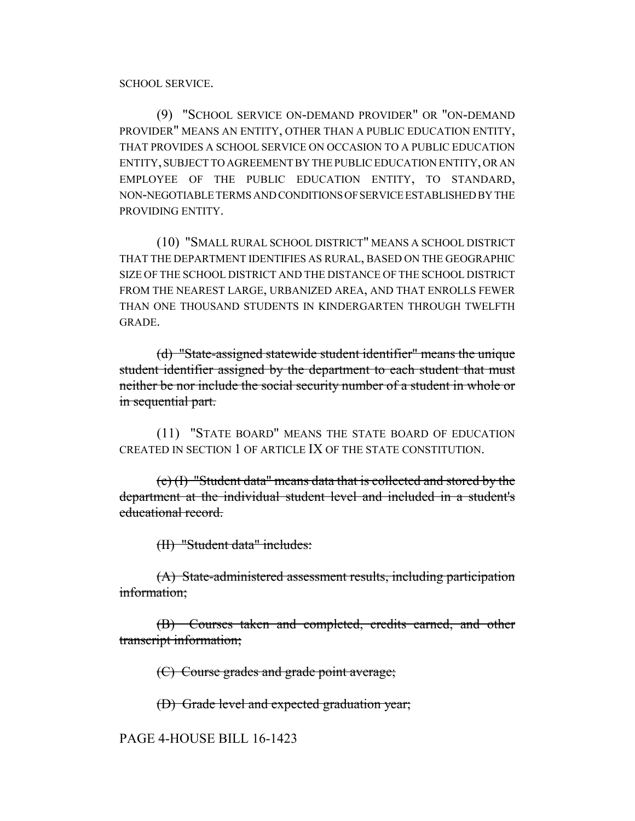SCHOOL SERVICE.

(9) "SCHOOL SERVICE ON-DEMAND PROVIDER" OR "ON-DEMAND PROVIDER" MEANS AN ENTITY, OTHER THAN A PUBLIC EDUCATION ENTITY, THAT PROVIDES A SCHOOL SERVICE ON OCCASION TO A PUBLIC EDUCATION ENTITY, SUBJECT TO AGREEMENT BY THE PUBLIC EDUCATION ENTITY, OR AN EMPLOYEE OF THE PUBLIC EDUCATION ENTITY, TO STANDARD, NON-NEGOTIABLE TERMS AND CONDITIONS OF SERVICE ESTABLISHED BY THE PROVIDING ENTITY.

(10) "SMALL RURAL SCHOOL DISTRICT" MEANS A SCHOOL DISTRICT THAT THE DEPARTMENT IDENTIFIES AS RURAL, BASED ON THE GEOGRAPHIC SIZE OF THE SCHOOL DISTRICT AND THE DISTANCE OF THE SCHOOL DISTRICT FROM THE NEAREST LARGE, URBANIZED AREA, AND THAT ENROLLS FEWER THAN ONE THOUSAND STUDENTS IN KINDERGARTEN THROUGH TWELFTH GRADE.

(d) "State-assigned statewide student identifier" means the unique student identifier assigned by the department to each student that must neither be nor include the social security number of a student in whole or in sequential part.

(11) "STATE BOARD" MEANS THE STATE BOARD OF EDUCATION CREATED IN SECTION 1 OF ARTICLE IX OF THE STATE CONSTITUTION.

(e) (I) "Student data" means data that is collected and stored by the department at the individual student level and included in a student's educational record.

(II) "Student data" includes:

(A) State-administered assessment results, including participation information;

(B) Courses taken and completed, credits earned, and other transcript information;

(C) Course grades and grade point average;

(D) Grade level and expected graduation year;

PAGE 4-HOUSE BILL 16-1423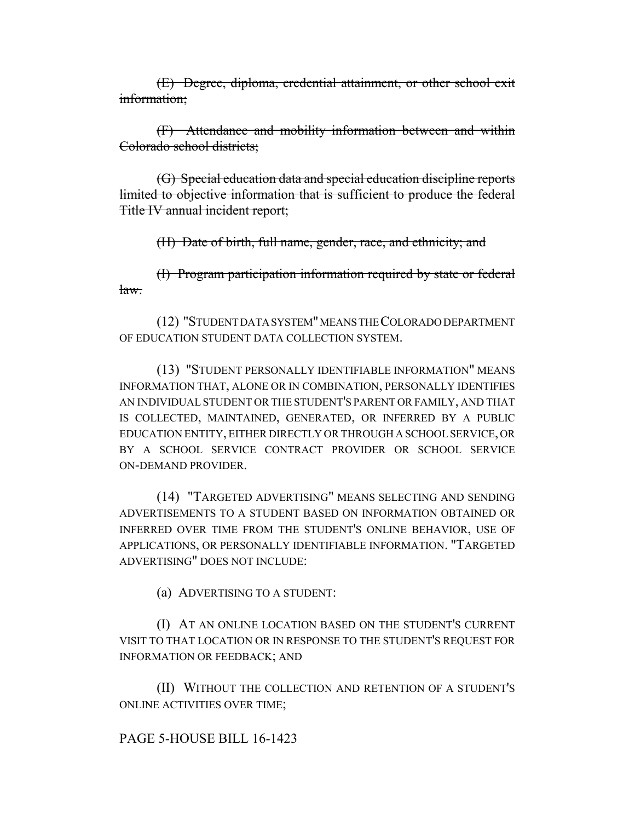(E) Degree, diploma, credential attainment, or other school exit information:

(F) Attendance and mobility information between and within Colorado school districts;

(G) Special education data and special education discipline reports limited to objective information that is sufficient to produce the federal Title IV annual incident report;

(H) Date of birth, full name, gender, race, and ethnicity; and

(I) Program participation information required by state or federal law.

(12) "STUDENT DATA SYSTEM" MEANS THE COLORADO DEPARTMENT OF EDUCATION STUDENT DATA COLLECTION SYSTEM.

(13) "STUDENT PERSONALLY IDENTIFIABLE INFORMATION" MEANS INFORMATION THAT, ALONE OR IN COMBINATION, PERSONALLY IDENTIFIES AN INDIVIDUAL STUDENT OR THE STUDENT'S PARENT OR FAMILY, AND THAT IS COLLECTED, MAINTAINED, GENERATED, OR INFERRED BY A PUBLIC EDUCATION ENTITY, EITHER DIRECTLY OR THROUGH A SCHOOL SERVICE, OR BY A SCHOOL SERVICE CONTRACT PROVIDER OR SCHOOL SERVICE ON-DEMAND PROVIDER.

(14) "TARGETED ADVERTISING" MEANS SELECTING AND SENDING ADVERTISEMENTS TO A STUDENT BASED ON INFORMATION OBTAINED OR INFERRED OVER TIME FROM THE STUDENT'S ONLINE BEHAVIOR, USE OF APPLICATIONS, OR PERSONALLY IDENTIFIABLE INFORMATION. "TARGETED ADVERTISING" DOES NOT INCLUDE:

(a) ADVERTISING TO A STUDENT:

(I) AT AN ONLINE LOCATION BASED ON THE STUDENT'S CURRENT VISIT TO THAT LOCATION OR IN RESPONSE TO THE STUDENT'S REQUEST FOR INFORMATION OR FEEDBACK; AND

(II) WITHOUT THE COLLECTION AND RETENTION OF A STUDENT'S ONLINE ACTIVITIES OVER TIME;

# PAGE 5-HOUSE BILL 16-1423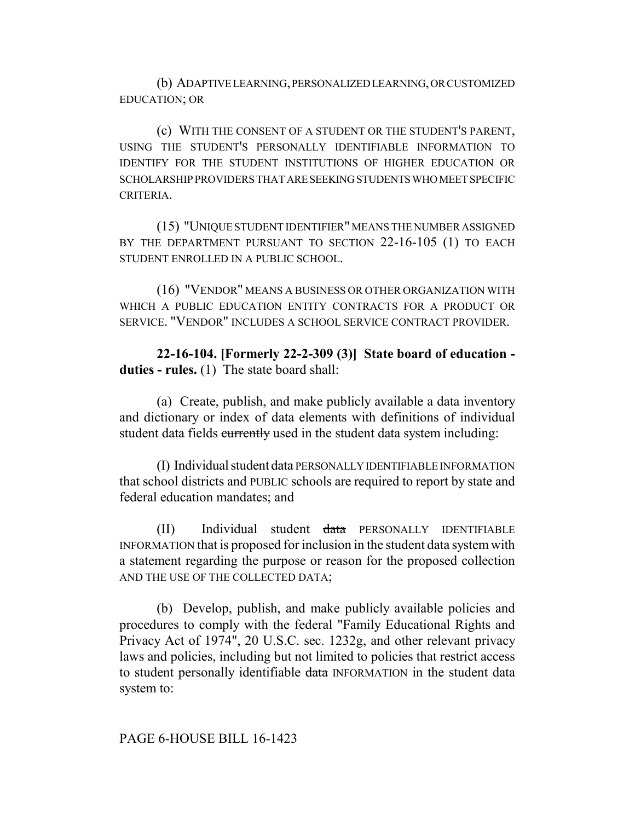(b) ADAPTIVE LEARNING, PERSONALIZED LEARNING, OR CUSTOMIZED EDUCATION; OR

(c) WITH THE CONSENT OF A STUDENT OR THE STUDENT'S PARENT, USING THE STUDENT'S PERSONALLY IDENTIFIABLE INFORMATION TO IDENTIFY FOR THE STUDENT INSTITUTIONS OF HIGHER EDUCATION OR SCHOLARSHIP PROVIDERS THAT ARE SEEKING STUDENTS WHO MEET SPECIFIC CRITERIA.

(15) "UNIQUE STUDENT IDENTIFIER" MEANS THE NUMBER ASSIGNED BY THE DEPARTMENT PURSUANT TO SECTION 22-16-105 (1) TO EACH STUDENT ENROLLED IN A PUBLIC SCHOOL.

(16) "VENDOR" MEANS A BUSINESS OR OTHER ORGANIZATION WITH WHICH A PUBLIC EDUCATION ENTITY CONTRACTS FOR A PRODUCT OR SERVICE. "VENDOR" INCLUDES A SCHOOL SERVICE CONTRACT PROVIDER.

**22-16-104. [Formerly 22-2-309 (3)] State board of education duties - rules.** (1) The state board shall:

(a) Create, publish, and make publicly available a data inventory and dictionary or index of data elements with definitions of individual student data fields currently used in the student data system including:

(I) Individual student data PERSONALLY IDENTIFIABLE INFORMATION that school districts and PUBLIC schools are required to report by state and federal education mandates; and

(II) Individual student data PERSONALLY IDENTIFIABLE INFORMATION that is proposed for inclusion in the student data system with a statement regarding the purpose or reason for the proposed collection AND THE USE OF THE COLLECTED DATA;

(b) Develop, publish, and make publicly available policies and procedures to comply with the federal "Family Educational Rights and Privacy Act of 1974", 20 U.S.C. sec. 1232g, and other relevant privacy laws and policies, including but not limited to policies that restrict access to student personally identifiable data INFORMATION in the student data system to: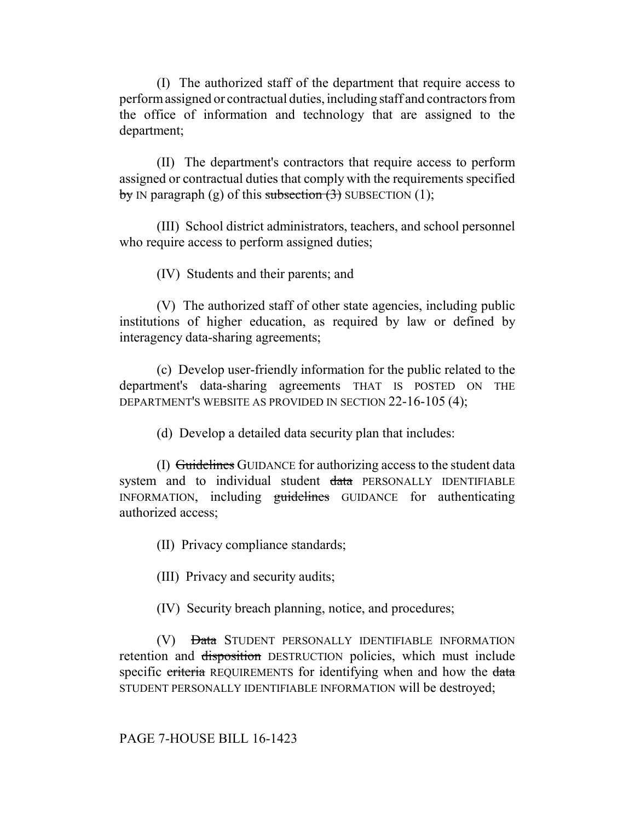(I) The authorized staff of the department that require access to perform assigned or contractual duties, including staff and contractors from the office of information and technology that are assigned to the department;

(II) The department's contractors that require access to perform assigned or contractual duties that comply with the requirements specified by IN paragraph (g) of this subsection  $(3)$  SUBSECTION (1);

(III) School district administrators, teachers, and school personnel who require access to perform assigned duties;

(IV) Students and their parents; and

(V) The authorized staff of other state agencies, including public institutions of higher education, as required by law or defined by interagency data-sharing agreements;

(c) Develop user-friendly information for the public related to the department's data-sharing agreements THAT IS POSTED ON THE DEPARTMENT'S WEBSITE AS PROVIDED IN SECTION 22-16-105 (4);

(d) Develop a detailed data security plan that includes:

(I) Guidelines GUIDANCE for authorizing access to the student data system and to individual student data PERSONALLY IDENTIFIABLE INFORMATION, including guidelines GUIDANCE for authenticating authorized access;

(II) Privacy compliance standards;

(III) Privacy and security audits;

(IV) Security breach planning, notice, and procedures;

(V) Data STUDENT PERSONALLY IDENTIFIABLE INFORMATION retention and disposition DESTRUCTION policies, which must include specific criteria REQUIREMENTS for identifying when and how the data STUDENT PERSONALLY IDENTIFIABLE INFORMATION will be destroyed;

PAGE 7-HOUSE BILL 16-1423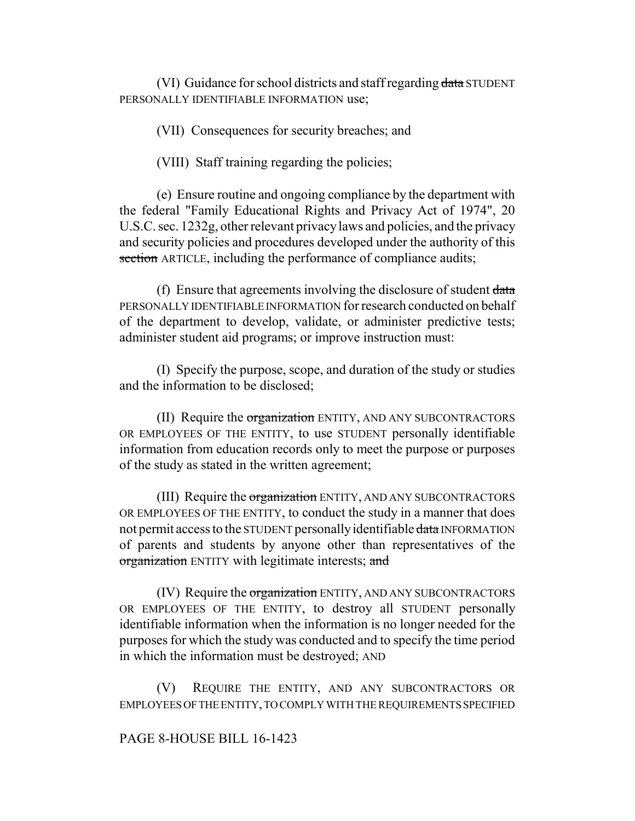(VI) Guidance for school districts and staff regarding data STUDENT PERSONALLY IDENTIFIABLE INFORMATION use;

(VII) Consequences for security breaches; and

(VIII) Staff training regarding the policies;

(e) Ensure routine and ongoing compliance by the department with the federal "Family Educational Rights and Privacy Act of 1974", 20 U.S.C. sec. 1232g, other relevant privacy laws and policies, and the privacy and security policies and procedures developed under the authority of this section ARTICLE, including the performance of compliance audits;

(f) Ensure that agreements involving the disclosure of student data PERSONALLY IDENTIFIABLE INFORMATION for research conducted on behalf of the department to develop, validate, or administer predictive tests; administer student aid programs; or improve instruction must:

(I) Specify the purpose, scope, and duration of the study or studies and the information to be disclosed;

(II) Require the organization ENTITY, AND ANY SUBCONTRACTORS OR EMPLOYEES OF THE ENTITY, to use STUDENT personally identifiable information from education records only to meet the purpose or purposes of the study as stated in the written agreement;

(III) Require the organization ENTITY, AND ANY SUBCONTRACTORS OR EMPLOYEES OF THE ENTITY, to conduct the study in a manner that does not permit access to the STUDENT personally identifiable data INFORMATION of parents and students by anyone other than representatives of the organization ENTITY with legitimate interests; and

(IV) Require the organization ENTITY, AND ANY SUBCONTRACTORS OR EMPLOYEES OF THE ENTITY, to destroy all STUDENT personally identifiable information when the information is no longer needed for the purposes for which the study was conducted and to specify the time period in which the information must be destroyed; AND

(V) REQUIRE THE ENTITY, AND ANY SUBCONTRACTORS OR EMPLOYEES OF THE ENTITY, TO COMPLY WITH THE REQUIREMENTS SPECIFIED

#### PAGE 8-HOUSE BILL 16-1423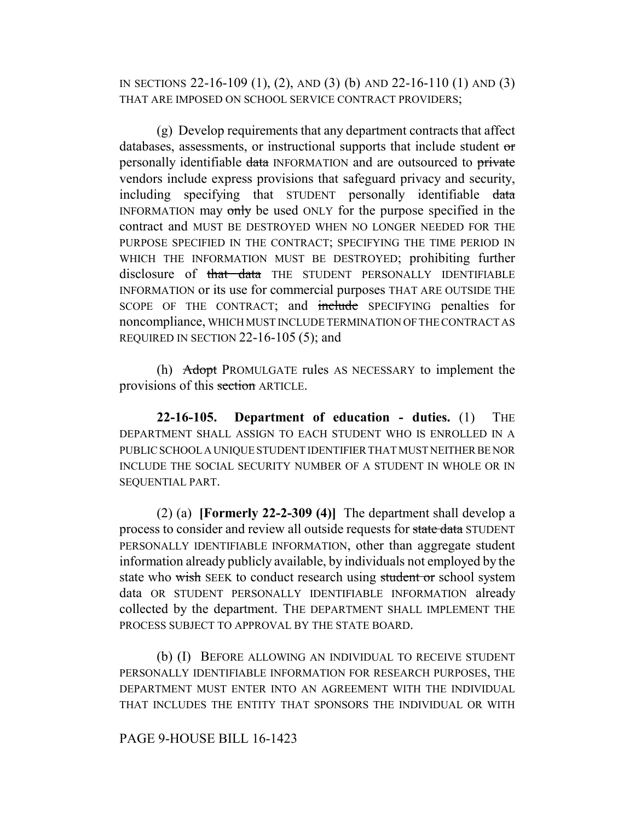IN SECTIONS 22-16-109 (1), (2), AND (3) (b) AND 22-16-110 (1) AND (3) THAT ARE IMPOSED ON SCHOOL SERVICE CONTRACT PROVIDERS;

(g) Develop requirements that any department contracts that affect databases, assessments, or instructional supports that include student or personally identifiable data INFORMATION and are outsourced to private vendors include express provisions that safeguard privacy and security, including specifying that STUDENT personally identifiable data INFORMATION may only be used ONLY for the purpose specified in the contract and MUST BE DESTROYED WHEN NO LONGER NEEDED FOR THE PURPOSE SPECIFIED IN THE CONTRACT; SPECIFYING THE TIME PERIOD IN WHICH THE INFORMATION MUST BE DESTROYED; prohibiting further disclosure of that data THE STUDENT PERSONALLY IDENTIFIABLE INFORMATION or its use for commercial purposes THAT ARE OUTSIDE THE SCOPE OF THE CONTRACT; and include SPECIFYING penalties for noncompliance, WHICH MUST INCLUDE TERMINATION OF THE CONTRACT AS REQUIRED IN SECTION 22-16-105 (5); and

(h) Adopt PROMULGATE rules AS NECESSARY to implement the provisions of this section ARTICLE.

**22-16-105. Department of education - duties.** (1) THE DEPARTMENT SHALL ASSIGN TO EACH STUDENT WHO IS ENROLLED IN A PUBLIC SCHOOL A UNIQUE STUDENT IDENTIFIER THAT MUST NEITHER BE NOR INCLUDE THE SOCIAL SECURITY NUMBER OF A STUDENT IN WHOLE OR IN SEQUENTIAL PART.

(2) (a) **[Formerly 22-2-309 (4)]** The department shall develop a process to consider and review all outside requests for state data STUDENT PERSONALLY IDENTIFIABLE INFORMATION, other than aggregate student information already publicly available, by individuals not employed by the state who wish SEEK to conduct research using student or school system data OR STUDENT PERSONALLY IDENTIFIABLE INFORMATION already collected by the department. THE DEPARTMENT SHALL IMPLEMENT THE PROCESS SUBJECT TO APPROVAL BY THE STATE BOARD.

(b) (I) BEFORE ALLOWING AN INDIVIDUAL TO RECEIVE STUDENT PERSONALLY IDENTIFIABLE INFORMATION FOR RESEARCH PURPOSES, THE DEPARTMENT MUST ENTER INTO AN AGREEMENT WITH THE INDIVIDUAL THAT INCLUDES THE ENTITY THAT SPONSORS THE INDIVIDUAL OR WITH

### PAGE 9-HOUSE BILL 16-1423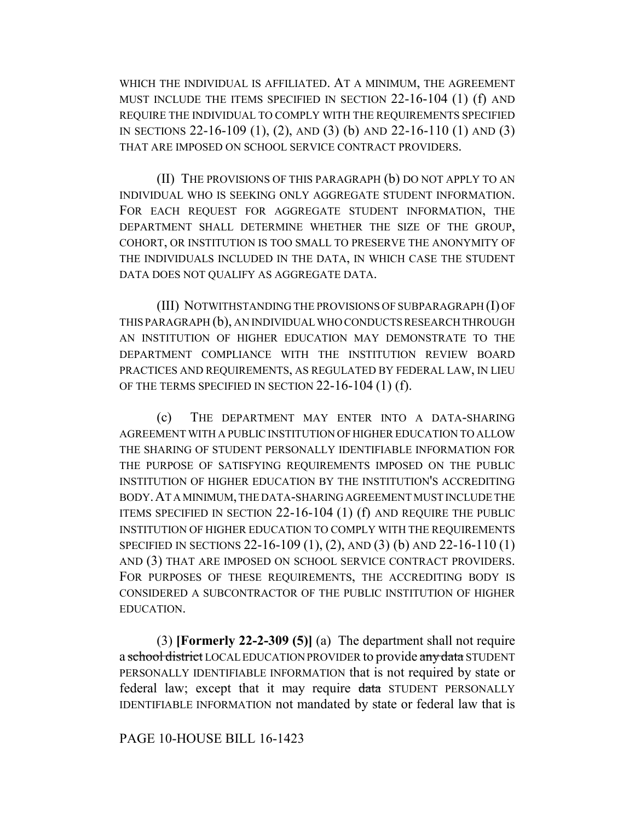WHICH THE INDIVIDUAL IS AFFILIATED. AT A MINIMUM, THE AGREEMENT MUST INCLUDE THE ITEMS SPECIFIED IN SECTION 22-16-104 (1) (f) AND REQUIRE THE INDIVIDUAL TO COMPLY WITH THE REQUIREMENTS SPECIFIED IN SECTIONS 22-16-109 (1), (2), AND (3) (b) AND 22-16-110 (1) AND (3) THAT ARE IMPOSED ON SCHOOL SERVICE CONTRACT PROVIDERS.

(II) THE PROVISIONS OF THIS PARAGRAPH (b) DO NOT APPLY TO AN INDIVIDUAL WHO IS SEEKING ONLY AGGREGATE STUDENT INFORMATION. FOR EACH REQUEST FOR AGGREGATE STUDENT INFORMATION, THE DEPARTMENT SHALL DETERMINE WHETHER THE SIZE OF THE GROUP, COHORT, OR INSTITUTION IS TOO SMALL TO PRESERVE THE ANONYMITY OF THE INDIVIDUALS INCLUDED IN THE DATA, IN WHICH CASE THE STUDENT DATA DOES NOT QUALIFY AS AGGREGATE DATA.

(III) NOTWITHSTANDING THE PROVISIONS OF SUBPARAGRAPH (I) OF THIS PARAGRAPH (b), AN INDIVIDUAL WHO CONDUCTS RESEARCH THROUGH AN INSTITUTION OF HIGHER EDUCATION MAY DEMONSTRATE TO THE DEPARTMENT COMPLIANCE WITH THE INSTITUTION REVIEW BOARD PRACTICES AND REQUIREMENTS, AS REGULATED BY FEDERAL LAW, IN LIEU OF THE TERMS SPECIFIED IN SECTION 22-16-104 (1) (f).

(c) THE DEPARTMENT MAY ENTER INTO A DATA-SHARING AGREEMENT WITH A PUBLIC INSTITUTION OF HIGHER EDUCATION TO ALLOW THE SHARING OF STUDENT PERSONALLY IDENTIFIABLE INFORMATION FOR THE PURPOSE OF SATISFYING REQUIREMENTS IMPOSED ON THE PUBLIC INSTITUTION OF HIGHER EDUCATION BY THE INSTITUTION'S ACCREDITING BODY.AT A MINIMUM, THE DATA-SHARING AGREEMENT MUST INCLUDE THE ITEMS SPECIFIED IN SECTION 22-16-104 (1) (f) AND REQUIRE THE PUBLIC INSTITUTION OF HIGHER EDUCATION TO COMPLY WITH THE REQUIREMENTS SPECIFIED IN SECTIONS 22-16-109 (1), (2), AND (3) (b) AND 22-16-110 (1) AND (3) THAT ARE IMPOSED ON SCHOOL SERVICE CONTRACT PROVIDERS. FOR PURPOSES OF THESE REQUIREMENTS, THE ACCREDITING BODY IS CONSIDERED A SUBCONTRACTOR OF THE PUBLIC INSTITUTION OF HIGHER EDUCATION.

(3) **[Formerly 22-2-309 (5)]** (a) The department shall not require a school district LOCAL EDUCATION PROVIDER to provide any data STUDENT PERSONALLY IDENTIFIABLE INFORMATION that is not required by state or federal law; except that it may require data STUDENT PERSONALLY IDENTIFIABLE INFORMATION not mandated by state or federal law that is

## PAGE 10-HOUSE BILL 16-1423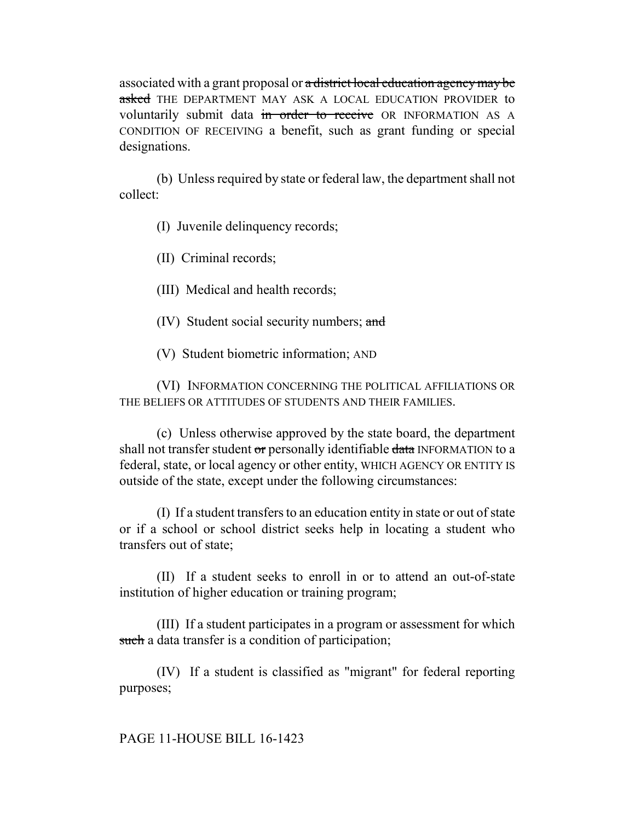associated with a grant proposal or a district local education agency may be asked THE DEPARTMENT MAY ASK A LOCAL EDUCATION PROVIDER to voluntarily submit data in order to receive OR INFORMATION AS A CONDITION OF RECEIVING a benefit, such as grant funding or special designations.

(b) Unless required by state or federal law, the department shall not collect:

(I) Juvenile delinquency records;

(II) Criminal records;

(III) Medical and health records;

(IV) Student social security numbers; and

(V) Student biometric information; AND

(VI) INFORMATION CONCERNING THE POLITICAL AFFILIATIONS OR THE BELIEFS OR ATTITUDES OF STUDENTS AND THEIR FAMILIES.

(c) Unless otherwise approved by the state board, the department shall not transfer student or personally identifiable data INFORMATION to a federal, state, or local agency or other entity, WHICH AGENCY OR ENTITY IS outside of the state, except under the following circumstances:

(I) If a student transfers to an education entity in state or out of state or if a school or school district seeks help in locating a student who transfers out of state;

(II) If a student seeks to enroll in or to attend an out-of-state institution of higher education or training program;

(III) If a student participates in a program or assessment for which such a data transfer is a condition of participation;

(IV) If a student is classified as "migrant" for federal reporting purposes;

## PAGE 11-HOUSE BILL 16-1423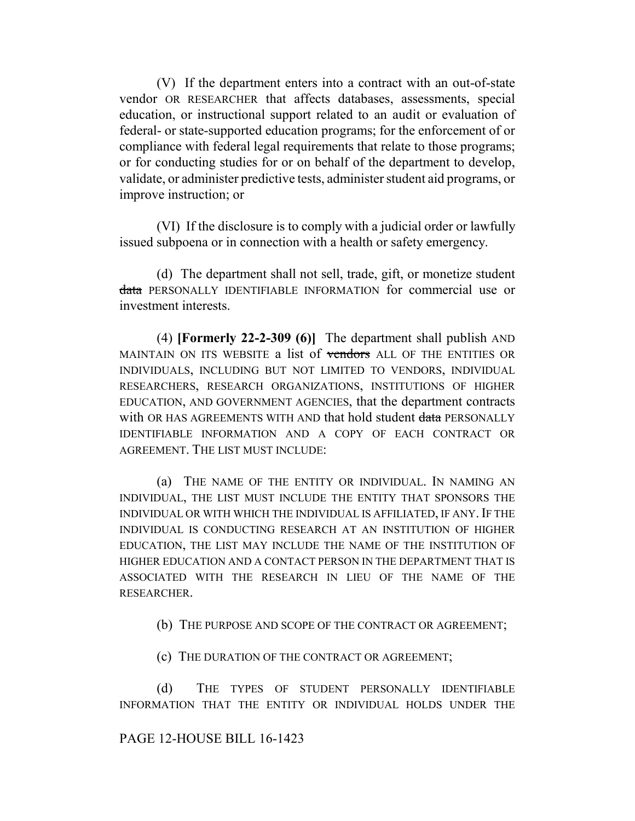(V) If the department enters into a contract with an out-of-state vendor OR RESEARCHER that affects databases, assessments, special education, or instructional support related to an audit or evaluation of federal- or state-supported education programs; for the enforcement of or compliance with federal legal requirements that relate to those programs; or for conducting studies for or on behalf of the department to develop, validate, or administer predictive tests, administer student aid programs, or improve instruction; or

(VI) If the disclosure is to comply with a judicial order or lawfully issued subpoena or in connection with a health or safety emergency.

(d) The department shall not sell, trade, gift, or monetize student data PERSONALLY IDENTIFIABLE INFORMATION for commercial use or investment interests.

(4) **[Formerly 22-2-309 (6)]** The department shall publish AND MAINTAIN ON ITS WEBSITE a list of vendors ALL OF THE ENTITIES OR INDIVIDUALS, INCLUDING BUT NOT LIMITED TO VENDORS, INDIVIDUAL RESEARCHERS, RESEARCH ORGANIZATIONS, INSTITUTIONS OF HIGHER EDUCATION, AND GOVERNMENT AGENCIES, that the department contracts with OR HAS AGREEMENTS WITH AND that hold student data PERSONALLY IDENTIFIABLE INFORMATION AND A COPY OF EACH CONTRACT OR AGREEMENT. THE LIST MUST INCLUDE:

(a) THE NAME OF THE ENTITY OR INDIVIDUAL. IN NAMING AN INDIVIDUAL, THE LIST MUST INCLUDE THE ENTITY THAT SPONSORS THE INDIVIDUAL OR WITH WHICH THE INDIVIDUAL IS AFFILIATED, IF ANY. IF THE INDIVIDUAL IS CONDUCTING RESEARCH AT AN INSTITUTION OF HIGHER EDUCATION, THE LIST MAY INCLUDE THE NAME OF THE INSTITUTION OF HIGHER EDUCATION AND A CONTACT PERSON IN THE DEPARTMENT THAT IS ASSOCIATED WITH THE RESEARCH IN LIEU OF THE NAME OF THE RESEARCHER.

(b) THE PURPOSE AND SCOPE OF THE CONTRACT OR AGREEMENT;

(c) THE DURATION OF THE CONTRACT OR AGREEMENT;

(d) THE TYPES OF STUDENT PERSONALLY IDENTIFIABLE INFORMATION THAT THE ENTITY OR INDIVIDUAL HOLDS UNDER THE

### PAGE 12-HOUSE BILL 16-1423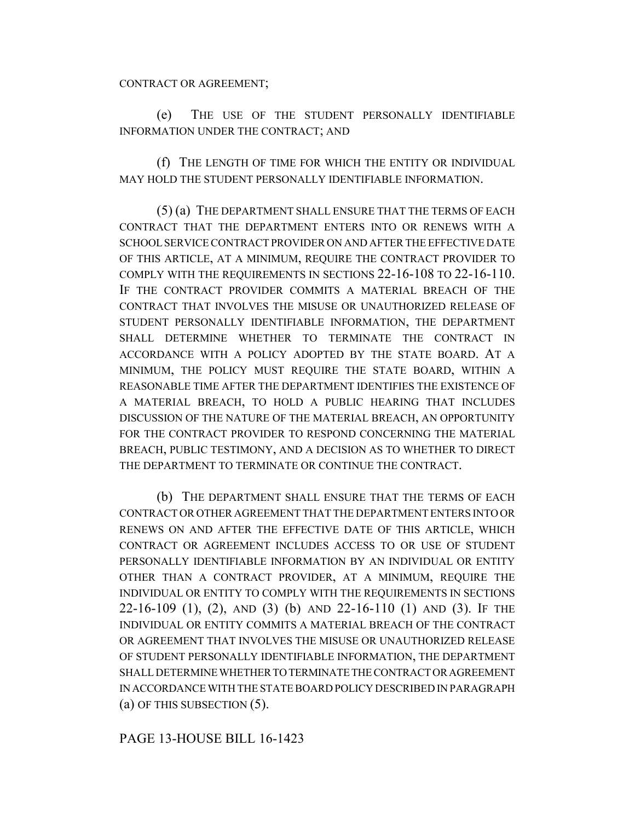CONTRACT OR AGREEMENT;

(e) THE USE OF THE STUDENT PERSONALLY IDENTIFIABLE INFORMATION UNDER THE CONTRACT; AND

(f) THE LENGTH OF TIME FOR WHICH THE ENTITY OR INDIVIDUAL MAY HOLD THE STUDENT PERSONALLY IDENTIFIABLE INFORMATION.

(5) (a) THE DEPARTMENT SHALL ENSURE THAT THE TERMS OF EACH CONTRACT THAT THE DEPARTMENT ENTERS INTO OR RENEWS WITH A SCHOOL SERVICE CONTRACT PROVIDER ON AND AFTER THE EFFECTIVE DATE OF THIS ARTICLE, AT A MINIMUM, REQUIRE THE CONTRACT PROVIDER TO COMPLY WITH THE REQUIREMENTS IN SECTIONS 22-16-108 TO 22-16-110. IF THE CONTRACT PROVIDER COMMITS A MATERIAL BREACH OF THE CONTRACT THAT INVOLVES THE MISUSE OR UNAUTHORIZED RELEASE OF STUDENT PERSONALLY IDENTIFIABLE INFORMATION, THE DEPARTMENT SHALL DETERMINE WHETHER TO TERMINATE THE CONTRACT IN ACCORDANCE WITH A POLICY ADOPTED BY THE STATE BOARD. AT A MINIMUM, THE POLICY MUST REQUIRE THE STATE BOARD, WITHIN A REASONABLE TIME AFTER THE DEPARTMENT IDENTIFIES THE EXISTENCE OF A MATERIAL BREACH, TO HOLD A PUBLIC HEARING THAT INCLUDES DISCUSSION OF THE NATURE OF THE MATERIAL BREACH, AN OPPORTUNITY FOR THE CONTRACT PROVIDER TO RESPOND CONCERNING THE MATERIAL BREACH, PUBLIC TESTIMONY, AND A DECISION AS TO WHETHER TO DIRECT THE DEPARTMENT TO TERMINATE OR CONTINUE THE CONTRACT.

(b) THE DEPARTMENT SHALL ENSURE THAT THE TERMS OF EACH CONTRACT OR OTHER AGREEMENT THAT THE DEPARTMENT ENTERS INTO OR RENEWS ON AND AFTER THE EFFECTIVE DATE OF THIS ARTICLE, WHICH CONTRACT OR AGREEMENT INCLUDES ACCESS TO OR USE OF STUDENT PERSONALLY IDENTIFIABLE INFORMATION BY AN INDIVIDUAL OR ENTITY OTHER THAN A CONTRACT PROVIDER, AT A MINIMUM, REQUIRE THE INDIVIDUAL OR ENTITY TO COMPLY WITH THE REQUIREMENTS IN SECTIONS 22-16-109 (1), (2), AND (3) (b) AND 22-16-110 (1) AND (3). IF THE INDIVIDUAL OR ENTITY COMMITS A MATERIAL BREACH OF THE CONTRACT OR AGREEMENT THAT INVOLVES THE MISUSE OR UNAUTHORIZED RELEASE OF STUDENT PERSONALLY IDENTIFIABLE INFORMATION, THE DEPARTMENT SHALL DETERMINE WHETHER TO TERMINATE THE CONTRACT OR AGREEMENT IN ACCORDANCE WITH THE STATE BOARD POLICY DESCRIBED IN PARAGRAPH (a) OF THIS SUBSECTION (5).

## PAGE 13-HOUSE BILL 16-1423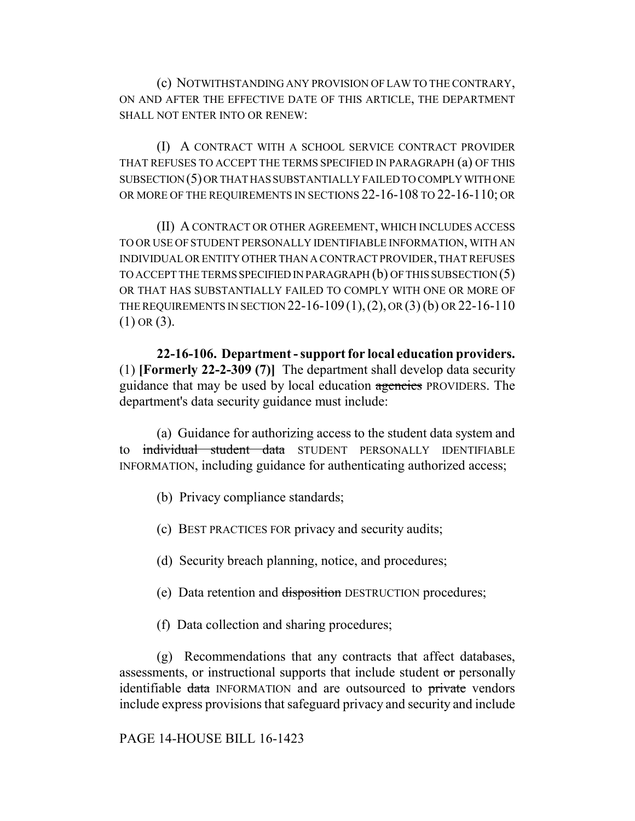(c) NOTWITHSTANDING ANY PROVISION OF LAW TO THE CONTRARY, ON AND AFTER THE EFFECTIVE DATE OF THIS ARTICLE, THE DEPARTMENT SHALL NOT ENTER INTO OR RENEW:

(I) A CONTRACT WITH A SCHOOL SERVICE CONTRACT PROVIDER THAT REFUSES TO ACCEPT THE TERMS SPECIFIED IN PARAGRAPH (a) OF THIS SUBSECTION (5) OR THAT HAS SUBSTANTIALLY FAILED TO COMPLY WITH ONE OR MORE OF THE REQUIREMENTS IN SECTIONS 22-16-108 TO 22-16-110; OR

(II) A CONTRACT OR OTHER AGREEMENT, WHICH INCLUDES ACCESS TO OR USE OF STUDENT PERSONALLY IDENTIFIABLE INFORMATION, WITH AN INDIVIDUAL OR ENTITY OTHER THAN A CONTRACT PROVIDER, THAT REFUSES TO ACCEPT THE TERMS SPECIFIED IN PARAGRAPH (b) OF THIS SUBSECTION (5) OR THAT HAS SUBSTANTIALLY FAILED TO COMPLY WITH ONE OR MORE OF THE REQUIREMENTS IN SECTION 22-16-109 (1),(2), OR (3) (b) OR 22-16-110  $(1)$  OR  $(3)$ .

**22-16-106. Department - support for local education providers.** (1) **[Formerly 22-2-309 (7)]** The department shall develop data security guidance that may be used by local education agencies PROVIDERS. The department's data security guidance must include:

(a) Guidance for authorizing access to the student data system and to individual student data STUDENT PERSONALLY IDENTIFIABLE INFORMATION, including guidance for authenticating authorized access;

- (b) Privacy compliance standards;
- (c) BEST PRACTICES FOR privacy and security audits;
- (d) Security breach planning, notice, and procedures;
- (e) Data retention and disposition DESTRUCTION procedures;
- (f) Data collection and sharing procedures;

(g) Recommendations that any contracts that affect databases, assessments, or instructional supports that include student or personally identifiable data INFORMATION and are outsourced to private vendors include express provisions that safeguard privacy and security and include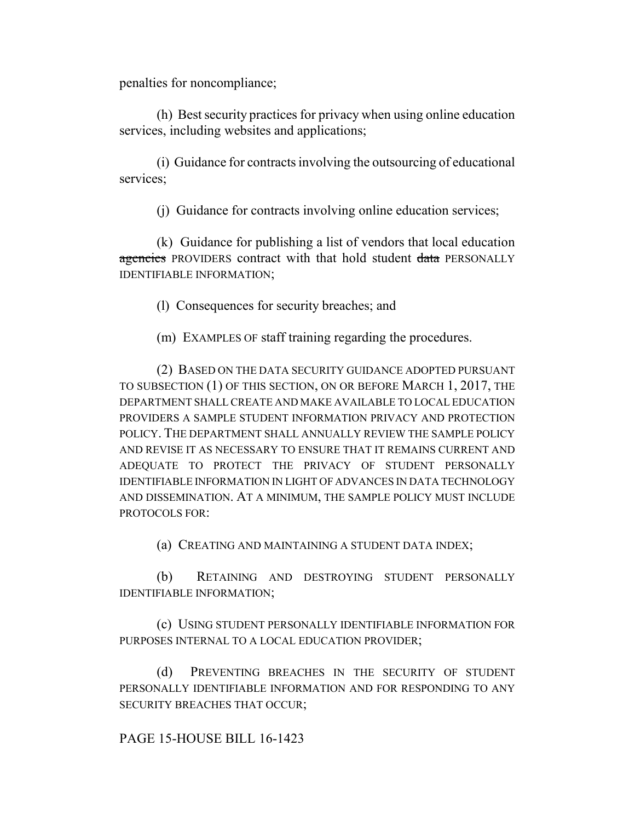penalties for noncompliance;

(h) Best security practices for privacy when using online education services, including websites and applications;

(i) Guidance for contracts involving the outsourcing of educational services;

(j) Guidance for contracts involving online education services;

(k) Guidance for publishing a list of vendors that local education agencies PROVIDERS contract with that hold student data PERSONALLY IDENTIFIABLE INFORMATION;

(l) Consequences for security breaches; and

(m) EXAMPLES OF staff training regarding the procedures.

(2) BASED ON THE DATA SECURITY GUIDANCE ADOPTED PURSUANT TO SUBSECTION (1) OF THIS SECTION, ON OR BEFORE MARCH 1, 2017, THE DEPARTMENT SHALL CREATE AND MAKE AVAILABLE TO LOCAL EDUCATION PROVIDERS A SAMPLE STUDENT INFORMATION PRIVACY AND PROTECTION POLICY. THE DEPARTMENT SHALL ANNUALLY REVIEW THE SAMPLE POLICY AND REVISE IT AS NECESSARY TO ENSURE THAT IT REMAINS CURRENT AND ADEQUATE TO PROTECT THE PRIVACY OF STUDENT PERSONALLY IDENTIFIABLE INFORMATION IN LIGHT OF ADVANCES IN DATA TECHNOLOGY AND DISSEMINATION. AT A MINIMUM, THE SAMPLE POLICY MUST INCLUDE PROTOCOLS FOR:

(a) CREATING AND MAINTAINING A STUDENT DATA INDEX;

(b) RETAINING AND DESTROYING STUDENT PERSONALLY IDENTIFIABLE INFORMATION;

(c) USING STUDENT PERSONALLY IDENTIFIABLE INFORMATION FOR PURPOSES INTERNAL TO A LOCAL EDUCATION PROVIDER;

(d) PREVENTING BREACHES IN THE SECURITY OF STUDENT PERSONALLY IDENTIFIABLE INFORMATION AND FOR RESPONDING TO ANY SECURITY BREACHES THAT OCCUR;

# PAGE 15-HOUSE BILL 16-1423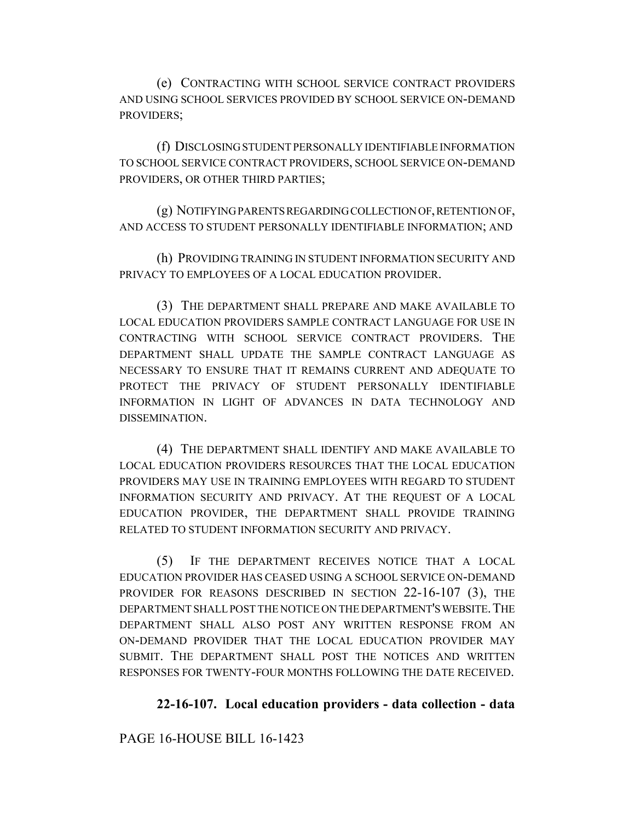(e) CONTRACTING WITH SCHOOL SERVICE CONTRACT PROVIDERS AND USING SCHOOL SERVICES PROVIDED BY SCHOOL SERVICE ON-DEMAND PROVIDERS;

(f) DISCLOSING STUDENT PERSONALLY IDENTIFIABLE INFORMATION TO SCHOOL SERVICE CONTRACT PROVIDERS, SCHOOL SERVICE ON-DEMAND PROVIDERS, OR OTHER THIRD PARTIES;

(g) NOTIFYING PARENTS REGARDING COLLECTION OF, RETENTION OF, AND ACCESS TO STUDENT PERSONALLY IDENTIFIABLE INFORMATION; AND

(h) PROVIDING TRAINING IN STUDENT INFORMATION SECURITY AND PRIVACY TO EMPLOYEES OF A LOCAL EDUCATION PROVIDER.

(3) THE DEPARTMENT SHALL PREPARE AND MAKE AVAILABLE TO LOCAL EDUCATION PROVIDERS SAMPLE CONTRACT LANGUAGE FOR USE IN CONTRACTING WITH SCHOOL SERVICE CONTRACT PROVIDERS. THE DEPARTMENT SHALL UPDATE THE SAMPLE CONTRACT LANGUAGE AS NECESSARY TO ENSURE THAT IT REMAINS CURRENT AND ADEQUATE TO PROTECT THE PRIVACY OF STUDENT PERSONALLY IDENTIFIABLE INFORMATION IN LIGHT OF ADVANCES IN DATA TECHNOLOGY AND DISSEMINATION.

(4) THE DEPARTMENT SHALL IDENTIFY AND MAKE AVAILABLE TO LOCAL EDUCATION PROVIDERS RESOURCES THAT THE LOCAL EDUCATION PROVIDERS MAY USE IN TRAINING EMPLOYEES WITH REGARD TO STUDENT INFORMATION SECURITY AND PRIVACY. AT THE REQUEST OF A LOCAL EDUCATION PROVIDER, THE DEPARTMENT SHALL PROVIDE TRAINING RELATED TO STUDENT INFORMATION SECURITY AND PRIVACY.

(5) IF THE DEPARTMENT RECEIVES NOTICE THAT A LOCAL EDUCATION PROVIDER HAS CEASED USING A SCHOOL SERVICE ON-DEMAND PROVIDER FOR REASONS DESCRIBED IN SECTION 22-16-107 (3), THE DEPARTMENT SHALL POST THE NOTICE ON THE DEPARTMENT'S WEBSITE.THE DEPARTMENT SHALL ALSO POST ANY WRITTEN RESPONSE FROM AN ON-DEMAND PROVIDER THAT THE LOCAL EDUCATION PROVIDER MAY SUBMIT. THE DEPARTMENT SHALL POST THE NOTICES AND WRITTEN RESPONSES FOR TWENTY-FOUR MONTHS FOLLOWING THE DATE RECEIVED.

# **22-16-107. Local education providers - data collection - data**

PAGE 16-HOUSE BILL 16-1423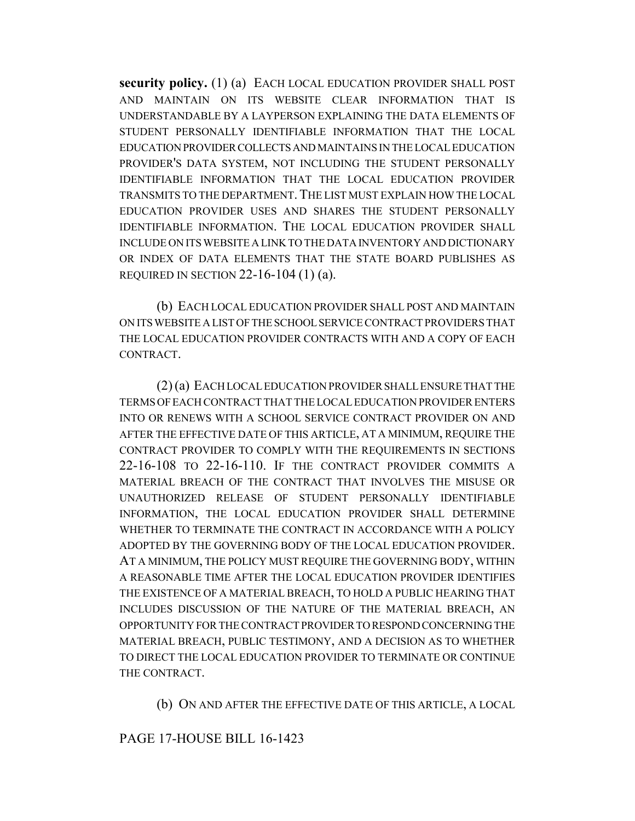**security policy.** (1) (a) EACH LOCAL EDUCATION PROVIDER SHALL POST AND MAINTAIN ON ITS WEBSITE CLEAR INFORMATION THAT IS UNDERSTANDABLE BY A LAYPERSON EXPLAINING THE DATA ELEMENTS OF STUDENT PERSONALLY IDENTIFIABLE INFORMATION THAT THE LOCAL EDUCATION PROVIDER COLLECTS AND MAINTAINS IN THE LOCAL EDUCATION PROVIDER'S DATA SYSTEM, NOT INCLUDING THE STUDENT PERSONALLY IDENTIFIABLE INFORMATION THAT THE LOCAL EDUCATION PROVIDER TRANSMITS TO THE DEPARTMENT. THE LIST MUST EXPLAIN HOW THE LOCAL EDUCATION PROVIDER USES AND SHARES THE STUDENT PERSONALLY IDENTIFIABLE INFORMATION. THE LOCAL EDUCATION PROVIDER SHALL INCLUDE ON ITS WEBSITE A LINK TO THE DATA INVENTORY AND DICTIONARY OR INDEX OF DATA ELEMENTS THAT THE STATE BOARD PUBLISHES AS REQUIRED IN SECTION  $22-16-104(1)(a)$ .

(b) EACH LOCAL EDUCATION PROVIDER SHALL POST AND MAINTAIN ON ITS WEBSITE A LIST OF THE SCHOOL SERVICE CONTRACT PROVIDERS THAT THE LOCAL EDUCATION PROVIDER CONTRACTS WITH AND A COPY OF EACH CONTRACT.

(2) (a) EACH LOCAL EDUCATION PROVIDER SHALL ENSURE THAT THE TERMS OF EACH CONTRACT THAT THE LOCAL EDUCATION PROVIDER ENTERS INTO OR RENEWS WITH A SCHOOL SERVICE CONTRACT PROVIDER ON AND AFTER THE EFFECTIVE DATE OF THIS ARTICLE, AT A MINIMUM, REQUIRE THE CONTRACT PROVIDER TO COMPLY WITH THE REQUIREMENTS IN SECTIONS 22-16-108 TO 22-16-110. IF THE CONTRACT PROVIDER COMMITS A MATERIAL BREACH OF THE CONTRACT THAT INVOLVES THE MISUSE OR UNAUTHORIZED RELEASE OF STUDENT PERSONALLY IDENTIFIABLE INFORMATION, THE LOCAL EDUCATION PROVIDER SHALL DETERMINE WHETHER TO TERMINATE THE CONTRACT IN ACCORDANCE WITH A POLICY ADOPTED BY THE GOVERNING BODY OF THE LOCAL EDUCATION PROVIDER. AT A MINIMUM, THE POLICY MUST REQUIRE THE GOVERNING BODY, WITHIN A REASONABLE TIME AFTER THE LOCAL EDUCATION PROVIDER IDENTIFIES THE EXISTENCE OF A MATERIAL BREACH, TO HOLD A PUBLIC HEARING THAT INCLUDES DISCUSSION OF THE NATURE OF THE MATERIAL BREACH, AN OPPORTUNITY FOR THE CONTRACT PROVIDER TO RESPOND CONCERNING THE MATERIAL BREACH, PUBLIC TESTIMONY, AND A DECISION AS TO WHETHER TO DIRECT THE LOCAL EDUCATION PROVIDER TO TERMINATE OR CONTINUE THE CONTRACT.

(b) ON AND AFTER THE EFFECTIVE DATE OF THIS ARTICLE, A LOCAL

## PAGE 17-HOUSE BILL 16-1423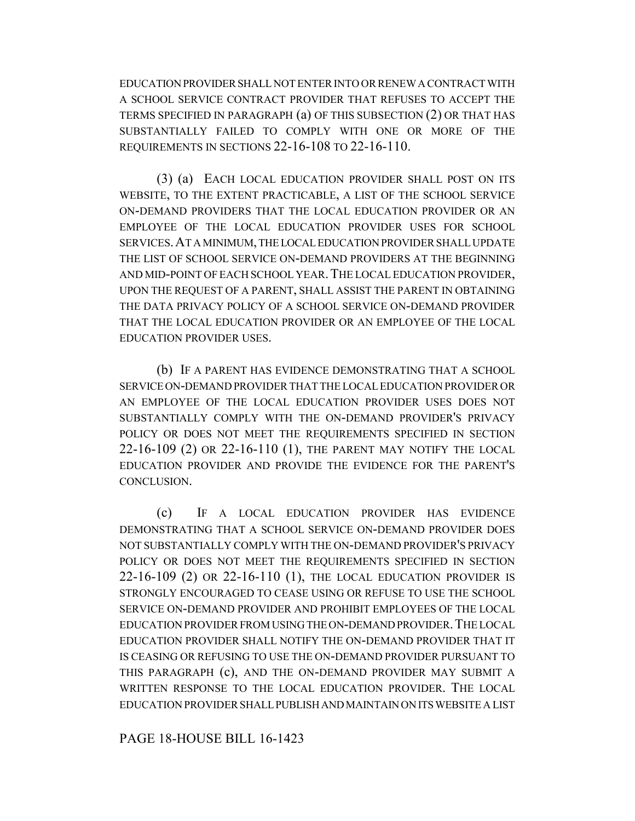EDUCATION PROVIDER SHALL NOT ENTER INTO OR RENEW A CONTRACT WITH A SCHOOL SERVICE CONTRACT PROVIDER THAT REFUSES TO ACCEPT THE TERMS SPECIFIED IN PARAGRAPH (a) OF THIS SUBSECTION (2) OR THAT HAS SUBSTANTIALLY FAILED TO COMPLY WITH ONE OR MORE OF THE REQUIREMENTS IN SECTIONS 22-16-108 TO 22-16-110.

(3) (a) EACH LOCAL EDUCATION PROVIDER SHALL POST ON ITS WEBSITE, TO THE EXTENT PRACTICABLE, A LIST OF THE SCHOOL SERVICE ON-DEMAND PROVIDERS THAT THE LOCAL EDUCATION PROVIDER OR AN EMPLOYEE OF THE LOCAL EDUCATION PROVIDER USES FOR SCHOOL SERVICES.AT A MINIMUM, THE LOCAL EDUCATION PROVIDER SHALL UPDATE THE LIST OF SCHOOL SERVICE ON-DEMAND PROVIDERS AT THE BEGINNING AND MID-POINT OF EACH SCHOOL YEAR.THE LOCAL EDUCATION PROVIDER, UPON THE REQUEST OF A PARENT, SHALL ASSIST THE PARENT IN OBTAINING THE DATA PRIVACY POLICY OF A SCHOOL SERVICE ON-DEMAND PROVIDER THAT THE LOCAL EDUCATION PROVIDER OR AN EMPLOYEE OF THE LOCAL EDUCATION PROVIDER USES.

(b) IF A PARENT HAS EVIDENCE DEMONSTRATING THAT A SCHOOL SERVICE ON-DEMAND PROVIDER THAT THE LOCAL EDUCATION PROVIDER OR AN EMPLOYEE OF THE LOCAL EDUCATION PROVIDER USES DOES NOT SUBSTANTIALLY COMPLY WITH THE ON-DEMAND PROVIDER'S PRIVACY POLICY OR DOES NOT MEET THE REQUIREMENTS SPECIFIED IN SECTION 22-16-109 (2) OR 22-16-110 (1), THE PARENT MAY NOTIFY THE LOCAL EDUCATION PROVIDER AND PROVIDE THE EVIDENCE FOR THE PARENT'S CONCLUSION.

(c) IF A LOCAL EDUCATION PROVIDER HAS EVIDENCE DEMONSTRATING THAT A SCHOOL SERVICE ON-DEMAND PROVIDER DOES NOT SUBSTANTIALLY COMPLY WITH THE ON-DEMAND PROVIDER'S PRIVACY POLICY OR DOES NOT MEET THE REQUIREMENTS SPECIFIED IN SECTION 22-16-109 (2) OR 22-16-110 (1), THE LOCAL EDUCATION PROVIDER IS STRONGLY ENCOURAGED TO CEASE USING OR REFUSE TO USE THE SCHOOL SERVICE ON-DEMAND PROVIDER AND PROHIBIT EMPLOYEES OF THE LOCAL EDUCATION PROVIDER FROM USING THE ON-DEMAND PROVIDER.THE LOCAL EDUCATION PROVIDER SHALL NOTIFY THE ON-DEMAND PROVIDER THAT IT IS CEASING OR REFUSING TO USE THE ON-DEMAND PROVIDER PURSUANT TO THIS PARAGRAPH (c), AND THE ON-DEMAND PROVIDER MAY SUBMIT A WRITTEN RESPONSE TO THE LOCAL EDUCATION PROVIDER. THE LOCAL EDUCATION PROVIDER SHALL PUBLISH AND MAINTAIN ON ITS WEBSITE A LIST

PAGE 18-HOUSE BILL 16-1423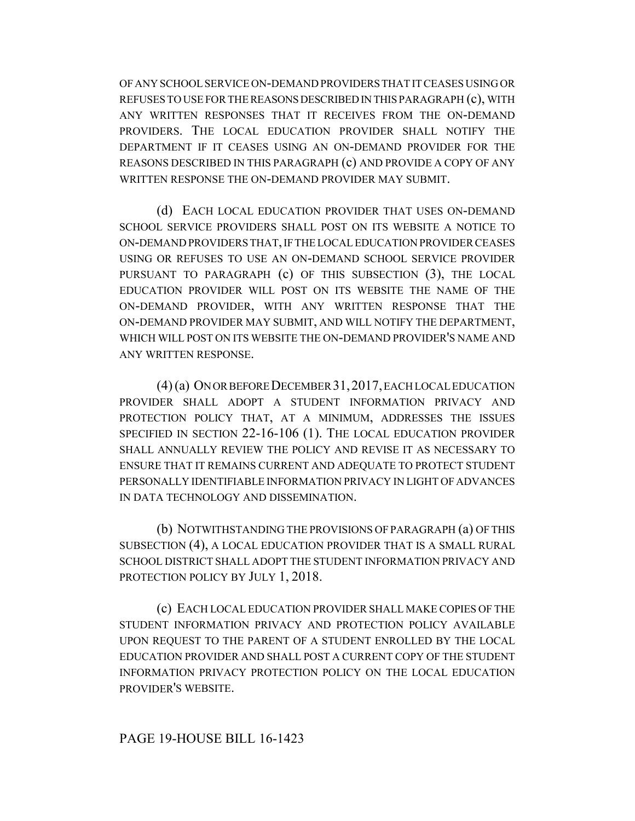OF ANY SCHOOL SERVICE ON-DEMAND PROVIDERS THAT IT CEASES USING OR REFUSES TO USE FOR THE REASONS DESCRIBED IN THIS PARAGRAPH (c), WITH ANY WRITTEN RESPONSES THAT IT RECEIVES FROM THE ON-DEMAND PROVIDERS. THE LOCAL EDUCATION PROVIDER SHALL NOTIFY THE DEPARTMENT IF IT CEASES USING AN ON-DEMAND PROVIDER FOR THE REASONS DESCRIBED IN THIS PARAGRAPH (c) AND PROVIDE A COPY OF ANY WRITTEN RESPONSE THE ON-DEMAND PROVIDER MAY SUBMIT.

(d) EACH LOCAL EDUCATION PROVIDER THAT USES ON-DEMAND SCHOOL SERVICE PROVIDERS SHALL POST ON ITS WEBSITE A NOTICE TO ON-DEMAND PROVIDERS THAT, IF THE LOCAL EDUCATION PROVIDER CEASES USING OR REFUSES TO USE AN ON-DEMAND SCHOOL SERVICE PROVIDER PURSUANT TO PARAGRAPH (c) OF THIS SUBSECTION (3), THE LOCAL EDUCATION PROVIDER WILL POST ON ITS WEBSITE THE NAME OF THE ON-DEMAND PROVIDER, WITH ANY WRITTEN RESPONSE THAT THE ON-DEMAND PROVIDER MAY SUBMIT, AND WILL NOTIFY THE DEPARTMENT, WHICH WILL POST ON ITS WEBSITE THE ON-DEMAND PROVIDER'S NAME AND ANY WRITTEN RESPONSE.

(4) (a) ON OR BEFORE DECEMBER 31,2017, EACH LOCAL EDUCATION PROVIDER SHALL ADOPT A STUDENT INFORMATION PRIVACY AND PROTECTION POLICY THAT, AT A MINIMUM, ADDRESSES THE ISSUES SPECIFIED IN SECTION 22-16-106 (1). THE LOCAL EDUCATION PROVIDER SHALL ANNUALLY REVIEW THE POLICY AND REVISE IT AS NECESSARY TO ENSURE THAT IT REMAINS CURRENT AND ADEQUATE TO PROTECT STUDENT PERSONALLY IDENTIFIABLE INFORMATION PRIVACY IN LIGHT OF ADVANCES IN DATA TECHNOLOGY AND DISSEMINATION.

(b) NOTWITHSTANDING THE PROVISIONS OF PARAGRAPH (a) OF THIS SUBSECTION (4), A LOCAL EDUCATION PROVIDER THAT IS A SMALL RURAL SCHOOL DISTRICT SHALL ADOPT THE STUDENT INFORMATION PRIVACY AND PROTECTION POLICY BY JULY 1, 2018.

(c) EACH LOCAL EDUCATION PROVIDER SHALL MAKE COPIES OF THE STUDENT INFORMATION PRIVACY AND PROTECTION POLICY AVAILABLE UPON REQUEST TO THE PARENT OF A STUDENT ENROLLED BY THE LOCAL EDUCATION PROVIDER AND SHALL POST A CURRENT COPY OF THE STUDENT INFORMATION PRIVACY PROTECTION POLICY ON THE LOCAL EDUCATION PROVIDER'S WEBSITE.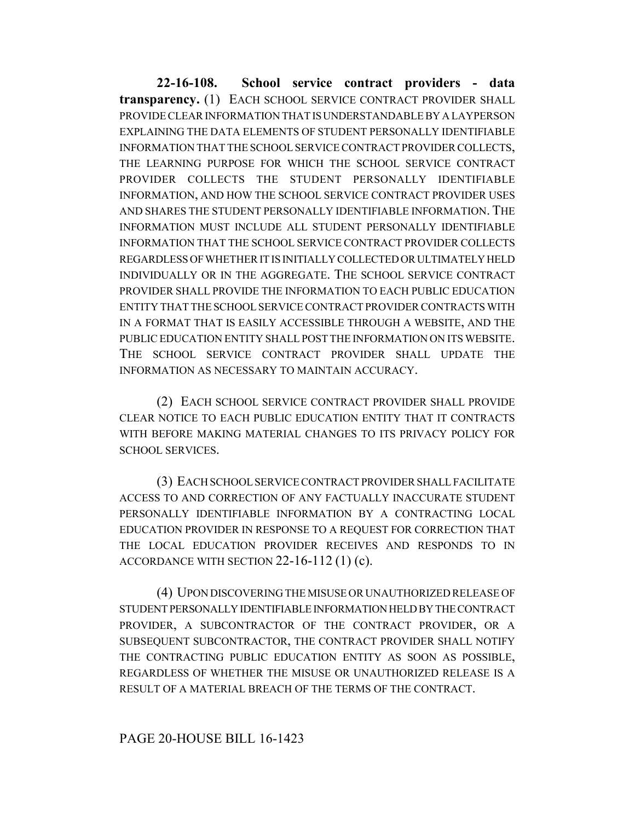**22-16-108. School service contract providers - data transparency.** (1) EACH SCHOOL SERVICE CONTRACT PROVIDER SHALL PROVIDE CLEAR INFORMATION THAT IS UNDERSTANDABLE BY A LAYPERSON EXPLAINING THE DATA ELEMENTS OF STUDENT PERSONALLY IDENTIFIABLE INFORMATION THAT THE SCHOOL SERVICE CONTRACT PROVIDER COLLECTS, THE LEARNING PURPOSE FOR WHICH THE SCHOOL SERVICE CONTRACT PROVIDER COLLECTS THE STUDENT PERSONALLY IDENTIFIABLE INFORMATION, AND HOW THE SCHOOL SERVICE CONTRACT PROVIDER USES AND SHARES THE STUDENT PERSONALLY IDENTIFIABLE INFORMATION. THE INFORMATION MUST INCLUDE ALL STUDENT PERSONALLY IDENTIFIABLE INFORMATION THAT THE SCHOOL SERVICE CONTRACT PROVIDER COLLECTS REGARDLESS OF WHETHER IT IS INITIALLY COLLECTED OR ULTIMATELY HELD INDIVIDUALLY OR IN THE AGGREGATE. THE SCHOOL SERVICE CONTRACT PROVIDER SHALL PROVIDE THE INFORMATION TO EACH PUBLIC EDUCATION ENTITY THAT THE SCHOOL SERVICE CONTRACT PROVIDER CONTRACTS WITH IN A FORMAT THAT IS EASILY ACCESSIBLE THROUGH A WEBSITE, AND THE PUBLIC EDUCATION ENTITY SHALL POST THE INFORMATION ON ITS WEBSITE. THE SCHOOL SERVICE CONTRACT PROVIDER SHALL UPDATE THE INFORMATION AS NECESSARY TO MAINTAIN ACCURACY.

(2) EACH SCHOOL SERVICE CONTRACT PROVIDER SHALL PROVIDE CLEAR NOTICE TO EACH PUBLIC EDUCATION ENTITY THAT IT CONTRACTS WITH BEFORE MAKING MATERIAL CHANGES TO ITS PRIVACY POLICY FOR SCHOOL SERVICES.

(3) EACH SCHOOL SERVICE CONTRACT PROVIDER SHALL FACILITATE ACCESS TO AND CORRECTION OF ANY FACTUALLY INACCURATE STUDENT PERSONALLY IDENTIFIABLE INFORMATION BY A CONTRACTING LOCAL EDUCATION PROVIDER IN RESPONSE TO A REQUEST FOR CORRECTION THAT THE LOCAL EDUCATION PROVIDER RECEIVES AND RESPONDS TO IN ACCORDANCE WITH SECTION 22-16-112 (1) (c).

(4) UPON DISCOVERING THE MISUSE OR UNAUTHORIZED RELEASE OF STUDENT PERSONALLY IDENTIFIABLE INFORMATION HELD BY THE CONTRACT PROVIDER, A SUBCONTRACTOR OF THE CONTRACT PROVIDER, OR A SUBSEQUENT SUBCONTRACTOR, THE CONTRACT PROVIDER SHALL NOTIFY THE CONTRACTING PUBLIC EDUCATION ENTITY AS SOON AS POSSIBLE, REGARDLESS OF WHETHER THE MISUSE OR UNAUTHORIZED RELEASE IS A RESULT OF A MATERIAL BREACH OF THE TERMS OF THE CONTRACT.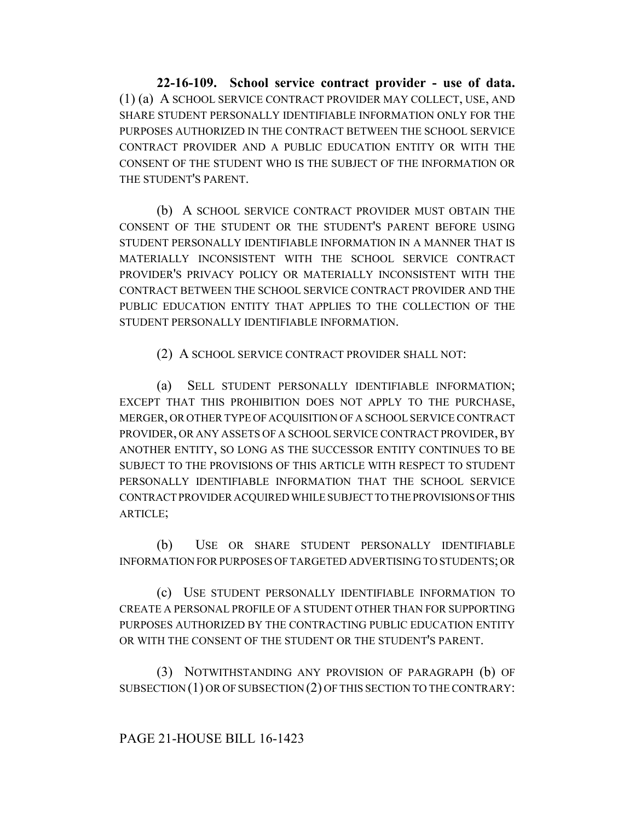**22-16-109. School service contract provider - use of data.** (1) (a) A SCHOOL SERVICE CONTRACT PROVIDER MAY COLLECT, USE, AND SHARE STUDENT PERSONALLY IDENTIFIABLE INFORMATION ONLY FOR THE PURPOSES AUTHORIZED IN THE CONTRACT BETWEEN THE SCHOOL SERVICE CONTRACT PROVIDER AND A PUBLIC EDUCATION ENTITY OR WITH THE CONSENT OF THE STUDENT WHO IS THE SUBJECT OF THE INFORMATION OR THE STUDENT'S PARENT.

(b) A SCHOOL SERVICE CONTRACT PROVIDER MUST OBTAIN THE CONSENT OF THE STUDENT OR THE STUDENT'S PARENT BEFORE USING STUDENT PERSONALLY IDENTIFIABLE INFORMATION IN A MANNER THAT IS MATERIALLY INCONSISTENT WITH THE SCHOOL SERVICE CONTRACT PROVIDER'S PRIVACY POLICY OR MATERIALLY INCONSISTENT WITH THE CONTRACT BETWEEN THE SCHOOL SERVICE CONTRACT PROVIDER AND THE PUBLIC EDUCATION ENTITY THAT APPLIES TO THE COLLECTION OF THE STUDENT PERSONALLY IDENTIFIABLE INFORMATION.

(2) A SCHOOL SERVICE CONTRACT PROVIDER SHALL NOT:

(a) SELL STUDENT PERSONALLY IDENTIFIABLE INFORMATION; EXCEPT THAT THIS PROHIBITION DOES NOT APPLY TO THE PURCHASE, MERGER, OR OTHER TYPE OF ACQUISITION OF A SCHOOL SERVICE CONTRACT PROVIDER, OR ANY ASSETS OF A SCHOOL SERVICE CONTRACT PROVIDER, BY ANOTHER ENTITY, SO LONG AS THE SUCCESSOR ENTITY CONTINUES TO BE SUBJECT TO THE PROVISIONS OF THIS ARTICLE WITH RESPECT TO STUDENT PERSONALLY IDENTIFIABLE INFORMATION THAT THE SCHOOL SERVICE CONTRACT PROVIDER ACQUIRED WHILE SUBJECT TO THE PROVISIONS OF THIS ARTICLE;

(b) USE OR SHARE STUDENT PERSONALLY IDENTIFIABLE INFORMATION FOR PURPOSES OF TARGETED ADVERTISING TO STUDENTS; OR

(c) USE STUDENT PERSONALLY IDENTIFIABLE INFORMATION TO CREATE A PERSONAL PROFILE OF A STUDENT OTHER THAN FOR SUPPORTING PURPOSES AUTHORIZED BY THE CONTRACTING PUBLIC EDUCATION ENTITY OR WITH THE CONSENT OF THE STUDENT OR THE STUDENT'S PARENT.

(3) NOTWITHSTANDING ANY PROVISION OF PARAGRAPH (b) OF SUBSECTION (1) OR OF SUBSECTION (2) OF THIS SECTION TO THE CONTRARY:

### PAGE 21-HOUSE BILL 16-1423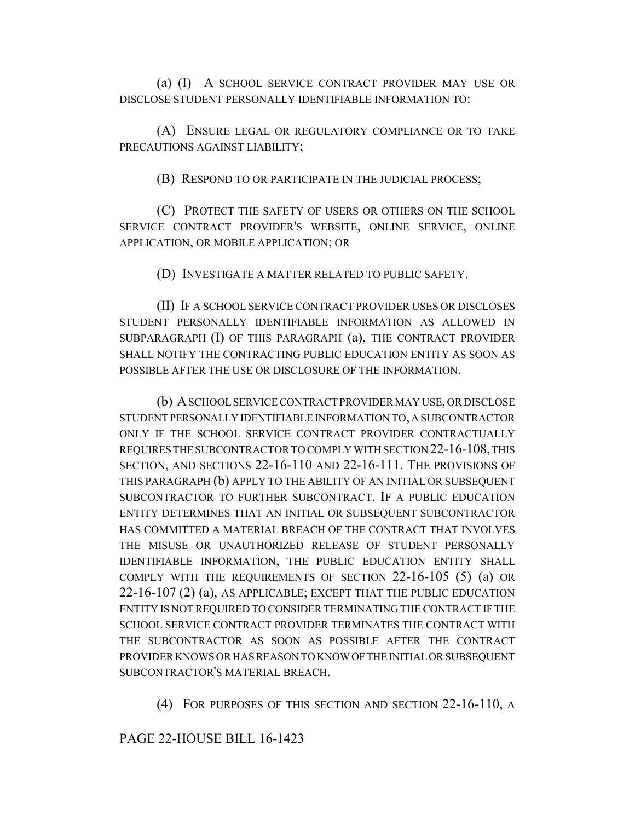(a) (I) A SCHOOL SERVICE CONTRACT PROVIDER MAY USE OR DISCLOSE STUDENT PERSONALLY IDENTIFIABLE INFORMATION TO:

(A) ENSURE LEGAL OR REGULATORY COMPLIANCE OR TO TAKE PRECAUTIONS AGAINST LIABILITY;

(B) RESPOND TO OR PARTICIPATE IN THE JUDICIAL PROCESS;

(C) PROTECT THE SAFETY OF USERS OR OTHERS ON THE SCHOOL SERVICE CONTRACT PROVIDER'S WEBSITE, ONLINE SERVICE, ONLINE APPLICATION, OR MOBILE APPLICATION; OR

(D) INVESTIGATE A MATTER RELATED TO PUBLIC SAFETY.

(II) IF A SCHOOL SERVICE CONTRACT PROVIDER USES OR DISCLOSES STUDENT PERSONALLY IDENTIFIABLE INFORMATION AS ALLOWED IN SUBPARAGRAPH (I) OF THIS PARAGRAPH (a), THE CONTRACT PROVIDER SHALL NOTIFY THE CONTRACTING PUBLIC EDUCATION ENTITY AS SOON AS POSSIBLE AFTER THE USE OR DISCLOSURE OF THE INFORMATION.

(b) A SCHOOL SERVICE CONTRACT PROVIDER MAY USE, OR DISCLOSE STUDENT PERSONALLY IDENTIFIABLE INFORMATION TO, A SUBCONTRACTOR ONLY IF THE SCHOOL SERVICE CONTRACT PROVIDER CONTRACTUALLY REQUIRES THE SUBCONTRACTOR TO COMPLY WITH SECTION 22-16-108, THIS SECTION, AND SECTIONS 22-16-110 AND 22-16-111. THE PROVISIONS OF THIS PARAGRAPH (b) APPLY TO THE ABILITY OF AN INITIAL OR SUBSEQUENT SUBCONTRACTOR TO FURTHER SUBCONTRACT. IF A PUBLIC EDUCATION ENTITY DETERMINES THAT AN INITIAL OR SUBSEQUENT SUBCONTRACTOR HAS COMMITTED A MATERIAL BREACH OF THE CONTRACT THAT INVOLVES THE MISUSE OR UNAUTHORIZED RELEASE OF STUDENT PERSONALLY IDENTIFIABLE INFORMATION, THE PUBLIC EDUCATION ENTITY SHALL COMPLY WITH THE REQUIREMENTS OF SECTION 22-16-105 (5) (a) OR 22-16-107 (2) (a), AS APPLICABLE; EXCEPT THAT THE PUBLIC EDUCATION ENTITY IS NOT REQUIRED TO CONSIDER TERMINATING THE CONTRACT IF THE SCHOOL SERVICE CONTRACT PROVIDER TERMINATES THE CONTRACT WITH THE SUBCONTRACTOR AS SOON AS POSSIBLE AFTER THE CONTRACT PROVIDER KNOWS OR HAS REASON TO KNOW OF THE INITIAL OR SUBSEQUENT SUBCONTRACTOR'S MATERIAL BREACH.

(4) FOR PURPOSES OF THIS SECTION AND SECTION 22-16-110, A

## PAGE 22-HOUSE BILL 16-1423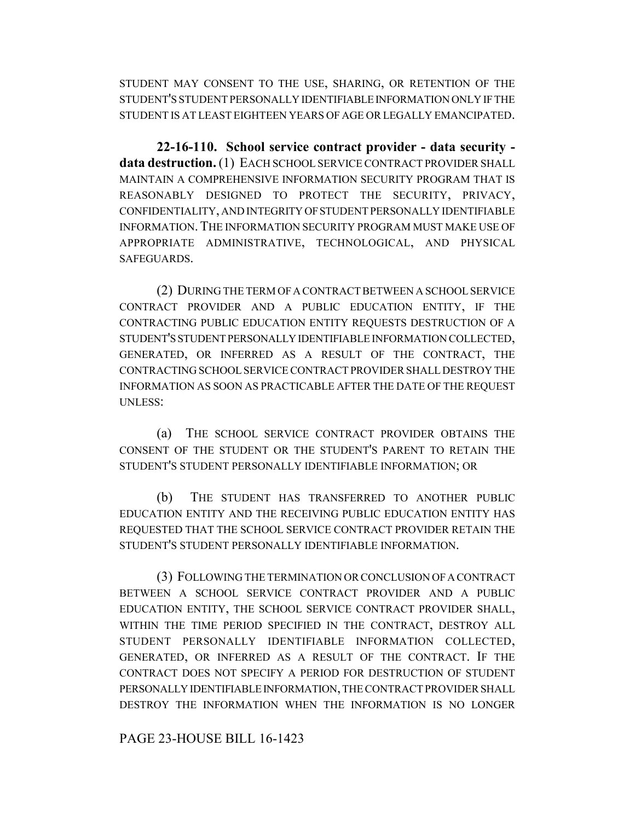STUDENT MAY CONSENT TO THE USE, SHARING, OR RETENTION OF THE STUDENT'S STUDENT PERSONALLY IDENTIFIABLE INFORMATION ONLY IF THE STUDENT IS AT LEAST EIGHTEEN YEARS OF AGE OR LEGALLY EMANCIPATED.

**22-16-110. School service contract provider - data security data destruction.** (1) EACH SCHOOL SERVICE CONTRACT PROVIDER SHALL MAINTAIN A COMPREHENSIVE INFORMATION SECURITY PROGRAM THAT IS REASONABLY DESIGNED TO PROTECT THE SECURITY, PRIVACY, CONFIDENTIALITY, AND INTEGRITY OF STUDENT PERSONALLY IDENTIFIABLE INFORMATION.THE INFORMATION SECURITY PROGRAM MUST MAKE USE OF APPROPRIATE ADMINISTRATIVE, TECHNOLOGICAL, AND PHYSICAL SAFEGUARDS.

(2) DURING THE TERM OF A CONTRACT BETWEEN A SCHOOL SERVICE CONTRACT PROVIDER AND A PUBLIC EDUCATION ENTITY, IF THE CONTRACTING PUBLIC EDUCATION ENTITY REQUESTS DESTRUCTION OF A STUDENT'S STUDENT PERSONALLY IDENTIFIABLE INFORMATION COLLECTED, GENERATED, OR INFERRED AS A RESULT OF THE CONTRACT, THE CONTRACTING SCHOOL SERVICE CONTRACT PROVIDER SHALL DESTROY THE INFORMATION AS SOON AS PRACTICABLE AFTER THE DATE OF THE REQUEST UNLESS:

(a) THE SCHOOL SERVICE CONTRACT PROVIDER OBTAINS THE CONSENT OF THE STUDENT OR THE STUDENT'S PARENT TO RETAIN THE STUDENT'S STUDENT PERSONALLY IDENTIFIABLE INFORMATION; OR

(b) THE STUDENT HAS TRANSFERRED TO ANOTHER PUBLIC EDUCATION ENTITY AND THE RECEIVING PUBLIC EDUCATION ENTITY HAS REQUESTED THAT THE SCHOOL SERVICE CONTRACT PROVIDER RETAIN THE STUDENT'S STUDENT PERSONALLY IDENTIFIABLE INFORMATION.

(3) FOLLOWING THE TERMINATION OR CONCLUSION OF A CONTRACT BETWEEN A SCHOOL SERVICE CONTRACT PROVIDER AND A PUBLIC EDUCATION ENTITY, THE SCHOOL SERVICE CONTRACT PROVIDER SHALL, WITHIN THE TIME PERIOD SPECIFIED IN THE CONTRACT, DESTROY ALL STUDENT PERSONALLY IDENTIFIABLE INFORMATION COLLECTED, GENERATED, OR INFERRED AS A RESULT OF THE CONTRACT. IF THE CONTRACT DOES NOT SPECIFY A PERIOD FOR DESTRUCTION OF STUDENT PERSONALLY IDENTIFIABLE INFORMATION, THE CONTRACT PROVIDER SHALL DESTROY THE INFORMATION WHEN THE INFORMATION IS NO LONGER

PAGE 23-HOUSE BILL 16-1423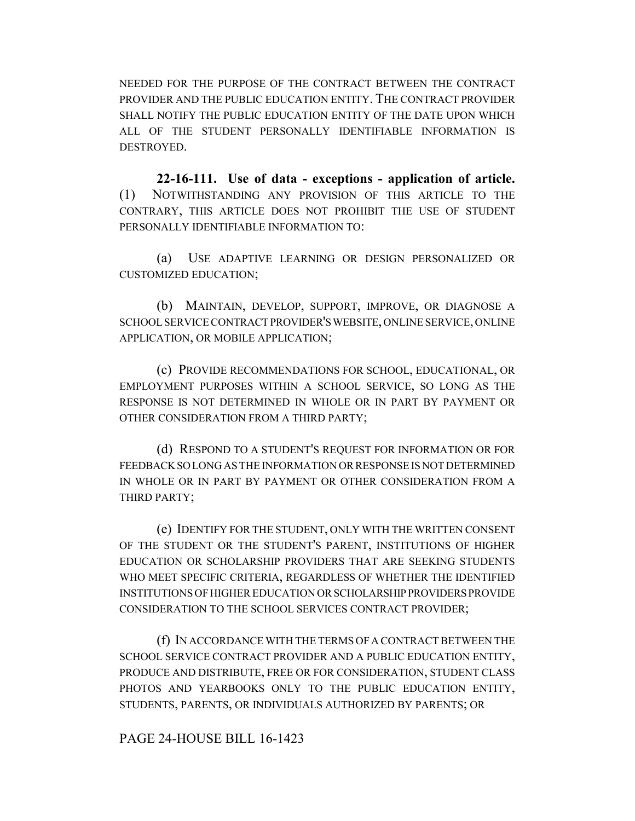NEEDED FOR THE PURPOSE OF THE CONTRACT BETWEEN THE CONTRACT PROVIDER AND THE PUBLIC EDUCATION ENTITY. THE CONTRACT PROVIDER SHALL NOTIFY THE PUBLIC EDUCATION ENTITY OF THE DATE UPON WHICH ALL OF THE STUDENT PERSONALLY IDENTIFIABLE INFORMATION IS DESTROYED.

**22-16-111. Use of data - exceptions - application of article.** (1) NOTWITHSTANDING ANY PROVISION OF THIS ARTICLE TO THE CONTRARY, THIS ARTICLE DOES NOT PROHIBIT THE USE OF STUDENT PERSONALLY IDENTIFIABLE INFORMATION TO:

(a) USE ADAPTIVE LEARNING OR DESIGN PERSONALIZED OR CUSTOMIZED EDUCATION;

(b) MAINTAIN, DEVELOP, SUPPORT, IMPROVE, OR DIAGNOSE A SCHOOL SERVICE CONTRACT PROVIDER'S WEBSITE, ONLINE SERVICE, ONLINE APPLICATION, OR MOBILE APPLICATION;

(c) PROVIDE RECOMMENDATIONS FOR SCHOOL, EDUCATIONAL, OR EMPLOYMENT PURPOSES WITHIN A SCHOOL SERVICE, SO LONG AS THE RESPONSE IS NOT DETERMINED IN WHOLE OR IN PART BY PAYMENT OR OTHER CONSIDERATION FROM A THIRD PARTY;

(d) RESPOND TO A STUDENT'S REQUEST FOR INFORMATION OR FOR FEEDBACK SO LONG AS THE INFORMATION OR RESPONSE IS NOT DETERMINED IN WHOLE OR IN PART BY PAYMENT OR OTHER CONSIDERATION FROM A THIRD PARTY;

(e) IDENTIFY FOR THE STUDENT, ONLY WITH THE WRITTEN CONSENT OF THE STUDENT OR THE STUDENT'S PARENT, INSTITUTIONS OF HIGHER EDUCATION OR SCHOLARSHIP PROVIDERS THAT ARE SEEKING STUDENTS WHO MEET SPECIFIC CRITERIA, REGARDLESS OF WHETHER THE IDENTIFIED INSTITUTIONS OF HIGHER EDUCATION OR SCHOLARSHIP PROVIDERS PROVIDE CONSIDERATION TO THE SCHOOL SERVICES CONTRACT PROVIDER;

(f) IN ACCORDANCE WITH THE TERMS OF A CONTRACT BETWEEN THE SCHOOL SERVICE CONTRACT PROVIDER AND A PUBLIC EDUCATION ENTITY, PRODUCE AND DISTRIBUTE, FREE OR FOR CONSIDERATION, STUDENT CLASS PHOTOS AND YEARBOOKS ONLY TO THE PUBLIC EDUCATION ENTITY, STUDENTS, PARENTS, OR INDIVIDUALS AUTHORIZED BY PARENTS; OR

PAGE 24-HOUSE BILL 16-1423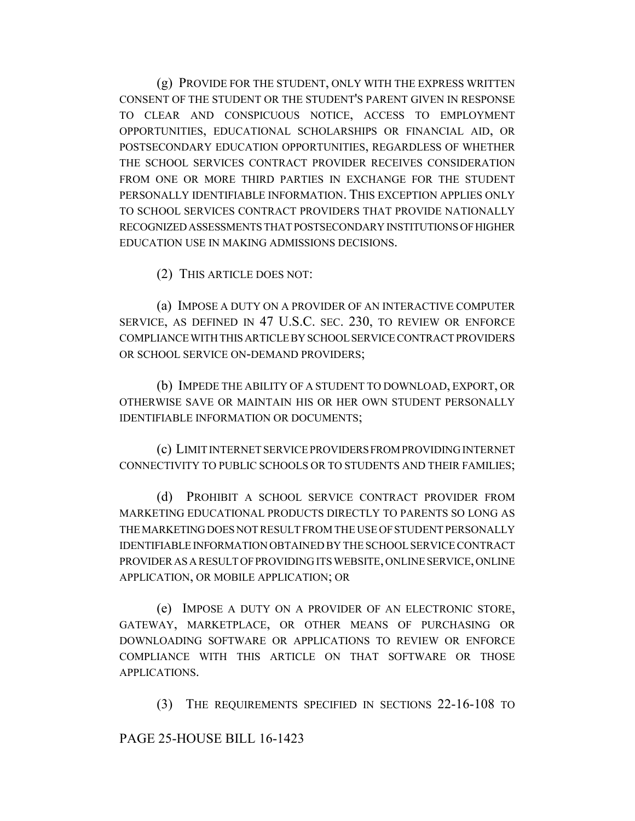(g) PROVIDE FOR THE STUDENT, ONLY WITH THE EXPRESS WRITTEN CONSENT OF THE STUDENT OR THE STUDENT'S PARENT GIVEN IN RESPONSE TO CLEAR AND CONSPICUOUS NOTICE, ACCESS TO EMPLOYMENT OPPORTUNITIES, EDUCATIONAL SCHOLARSHIPS OR FINANCIAL AID, OR POSTSECONDARY EDUCATION OPPORTUNITIES, REGARDLESS OF WHETHER THE SCHOOL SERVICES CONTRACT PROVIDER RECEIVES CONSIDERATION FROM ONE OR MORE THIRD PARTIES IN EXCHANGE FOR THE STUDENT PERSONALLY IDENTIFIABLE INFORMATION. THIS EXCEPTION APPLIES ONLY TO SCHOOL SERVICES CONTRACT PROVIDERS THAT PROVIDE NATIONALLY RECOGNIZED ASSESSMENTS THAT POSTSECONDARY INSTITUTIONS OF HIGHER EDUCATION USE IN MAKING ADMISSIONS DECISIONS.

(2) THIS ARTICLE DOES NOT:

(a) IMPOSE A DUTY ON A PROVIDER OF AN INTERACTIVE COMPUTER SERVICE, AS DEFINED IN 47 U.S.C. SEC. 230, TO REVIEW OR ENFORCE COMPLIANCE WITH THIS ARTICLE BY SCHOOL SERVICE CONTRACT PROVIDERS OR SCHOOL SERVICE ON-DEMAND PROVIDERS;

(b) IMPEDE THE ABILITY OF A STUDENT TO DOWNLOAD, EXPORT, OR OTHERWISE SAVE OR MAINTAIN HIS OR HER OWN STUDENT PERSONALLY IDENTIFIABLE INFORMATION OR DOCUMENTS;

(c) LIMIT INTERNET SERVICE PROVIDERS FROM PROVIDING INTERNET CONNECTIVITY TO PUBLIC SCHOOLS OR TO STUDENTS AND THEIR FAMILIES;

(d) PROHIBIT A SCHOOL SERVICE CONTRACT PROVIDER FROM MARKETING EDUCATIONAL PRODUCTS DIRECTLY TO PARENTS SO LONG AS THE MARKETING DOES NOT RESULT FROM THE USE OF STUDENT PERSONALLY IDENTIFIABLE INFORMATION OBTAINED BY THE SCHOOL SERVICE CONTRACT PROVIDER AS A RESULT OF PROVIDING ITS WEBSITE, ONLINE SERVICE, ONLINE APPLICATION, OR MOBILE APPLICATION; OR

(e) IMPOSE A DUTY ON A PROVIDER OF AN ELECTRONIC STORE, GATEWAY, MARKETPLACE, OR OTHER MEANS OF PURCHASING OR DOWNLOADING SOFTWARE OR APPLICATIONS TO REVIEW OR ENFORCE COMPLIANCE WITH THIS ARTICLE ON THAT SOFTWARE OR THOSE APPLICATIONS.

(3) THE REQUIREMENTS SPECIFIED IN SECTIONS 22-16-108 TO

PAGE 25-HOUSE BILL 16-1423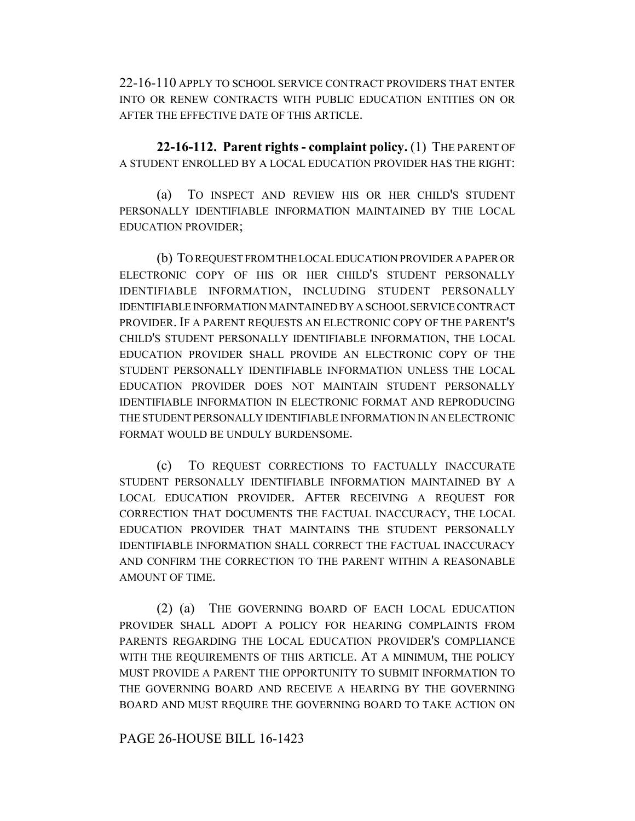22-16-110 APPLY TO SCHOOL SERVICE CONTRACT PROVIDERS THAT ENTER INTO OR RENEW CONTRACTS WITH PUBLIC EDUCATION ENTITIES ON OR AFTER THE EFFECTIVE DATE OF THIS ARTICLE.

**22-16-112. Parent rights - complaint policy.** (1) THE PARENT OF A STUDENT ENROLLED BY A LOCAL EDUCATION PROVIDER HAS THE RIGHT:

(a) TO INSPECT AND REVIEW HIS OR HER CHILD'S STUDENT PERSONALLY IDENTIFIABLE INFORMATION MAINTAINED BY THE LOCAL EDUCATION PROVIDER;

(b) TO REQUEST FROM THE LOCAL EDUCATION PROVIDER A PAPER OR ELECTRONIC COPY OF HIS OR HER CHILD'S STUDENT PERSONALLY IDENTIFIABLE INFORMATION, INCLUDING STUDENT PERSONALLY IDENTIFIABLE INFORMATION MAINTAINED BY A SCHOOL SERVICE CONTRACT PROVIDER. IF A PARENT REQUESTS AN ELECTRONIC COPY OF THE PARENT'S CHILD'S STUDENT PERSONALLY IDENTIFIABLE INFORMATION, THE LOCAL EDUCATION PROVIDER SHALL PROVIDE AN ELECTRONIC COPY OF THE STUDENT PERSONALLY IDENTIFIABLE INFORMATION UNLESS THE LOCAL EDUCATION PROVIDER DOES NOT MAINTAIN STUDENT PERSONALLY IDENTIFIABLE INFORMATION IN ELECTRONIC FORMAT AND REPRODUCING THE STUDENT PERSONALLY IDENTIFIABLE INFORMATION IN AN ELECTRONIC FORMAT WOULD BE UNDULY BURDENSOME.

(c) TO REQUEST CORRECTIONS TO FACTUALLY INACCURATE STUDENT PERSONALLY IDENTIFIABLE INFORMATION MAINTAINED BY A LOCAL EDUCATION PROVIDER. AFTER RECEIVING A REQUEST FOR CORRECTION THAT DOCUMENTS THE FACTUAL INACCURACY, THE LOCAL EDUCATION PROVIDER THAT MAINTAINS THE STUDENT PERSONALLY IDENTIFIABLE INFORMATION SHALL CORRECT THE FACTUAL INACCURACY AND CONFIRM THE CORRECTION TO THE PARENT WITHIN A REASONABLE AMOUNT OF TIME.

(2) (a) THE GOVERNING BOARD OF EACH LOCAL EDUCATION PROVIDER SHALL ADOPT A POLICY FOR HEARING COMPLAINTS FROM PARENTS REGARDING THE LOCAL EDUCATION PROVIDER'S COMPLIANCE WITH THE REQUIREMENTS OF THIS ARTICLE. AT A MINIMUM, THE POLICY MUST PROVIDE A PARENT THE OPPORTUNITY TO SUBMIT INFORMATION TO THE GOVERNING BOARD AND RECEIVE A HEARING BY THE GOVERNING BOARD AND MUST REQUIRE THE GOVERNING BOARD TO TAKE ACTION ON

PAGE 26-HOUSE BILL 16-1423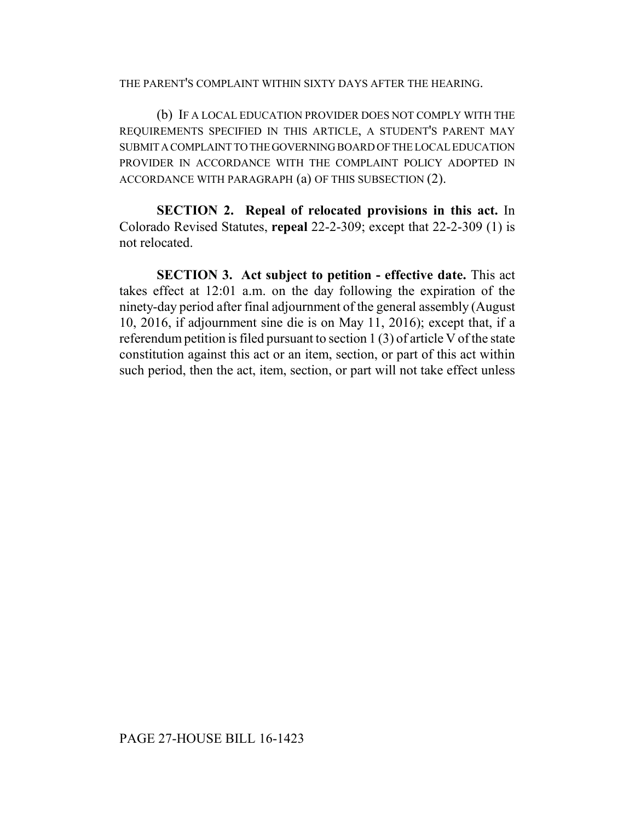#### THE PARENT'S COMPLAINT WITHIN SIXTY DAYS AFTER THE HEARING.

(b) IF A LOCAL EDUCATION PROVIDER DOES NOT COMPLY WITH THE REQUIREMENTS SPECIFIED IN THIS ARTICLE, A STUDENT'S PARENT MAY SUBMIT A COMPLAINT TO THE GOVERNING BOARD OF THE LOCAL EDUCATION PROVIDER IN ACCORDANCE WITH THE COMPLAINT POLICY ADOPTED IN ACCORDANCE WITH PARAGRAPH (a) OF THIS SUBSECTION (2).

**SECTION 2. Repeal of relocated provisions in this act.** In Colorado Revised Statutes, **repeal** 22-2-309; except that 22-2-309 (1) is not relocated.

**SECTION 3. Act subject to petition - effective date.** This act takes effect at 12:01 a.m. on the day following the expiration of the ninety-day period after final adjournment of the general assembly (August 10, 2016, if adjournment sine die is on May 11, 2016); except that, if a referendum petition is filed pursuant to section 1 (3) of article V of the state constitution against this act or an item, section, or part of this act within such period, then the act, item, section, or part will not take effect unless